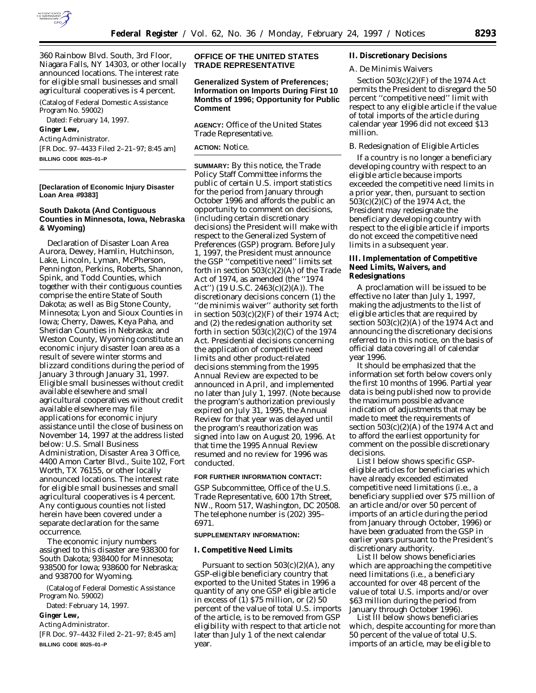

360 Rainbow Blvd. South, 3rd Floor, Niagara Falls, NY 14303, or other locally announced locations. The interest rate for eligible small businesses and small agricultural cooperatives is 4 percent.

(Catalog of Federal Domestic Assistance Program No. 59002) Dated: February 14, 1997.

**Ginger Lew,** *Acting Administrator.* [FR Doc. 97–4433 Filed 2–21–97; 8:45 am]

**BILLING CODE 8025–01–P**

#### **[Declaration of Economic Injury Disaster Loan Area** # **9383]**

## **South Dakota (And Contiguous Counties in Minnesota, Iowa, Nebraska & Wyoming)**

Declaration of Disaster Loan Area Aurora, Dewey, Hamlin, Hutchinson, Lake, Lincoln, Lyman, McPherson, Pennington, Perkins, Roberts, Shannon, Spink, and Todd Counties, which together with their contiguous counties comprise the entire State of South Dakota; as well as Big Stone County, Minnesota; Lyon and Sioux Counties in Iowa; Cherry, Dawes, Keya Paha, and Sheridan Counties in Nebraska; and Weston County, Wyoming constitute an economic injury disaster loan area as a result of severe winter storms and blizzard conditions during the period of January 3 through January 31, 1997. Eligible small businesses without credit available elsewhere and small agricultural cooperatives without credit available elsewhere may file applications for economic injury assistance until the close of business on November 14, 1997 at the address listed below: U.S. Small Business Administration, Disaster Area 3 Office, 4400 Amon Carter Blvd., Suite 102, Fort Worth, TX 76155, or other locally announced locations. The interest rate for eligible small businesses and small agricultural cooperatives is 4 percent. Any contiguous counties not listed herein have been covered under a separate declaration for the same occurrence.

The economic injury numbers assigned to this disaster are 938300 for South Dakota; 938400 for Minnesota; 938500 for Iowa; 938600 for Nebraska; and 938700 for Wyoming.

(Catalog of Federal Domestic Assistance Program No. 59002)

Dated: February 14, 1997.

**Ginger Lew,**

*Acting Administrator.*

[FR Doc. 97–4432 Filed 2–21–97; 8:45 am] **BILLING CODE 8025–01–P**

## **OFFICE OF THE UNITED STATES TRADE REPRESENTATIVE**

## **Generalized System of Preferences; Information on Imports During First 10 Months of 1996; Opportunity for Public Comment**

**AGENCY:** Office of the United States Trade Representative.

#### **ACTION:** Notice.

**SUMMARY:** By this notice, the Trade Policy Staff Committee informs the public of certain U.S. import statistics for the period from January through October 1996 and affords the public an opportunity to comment on decisions, (including certain discretionary decisions) the President will make with respect to the Generalized System of Preferences (GSP) program. Before July 1, 1997, the President must announce the GSP ''competitive need'' limits set forth in section  $503(c)(2)(A)$  of the Trade Act of 1974, as amended (the ''1974 Act'') (19 U.S.C. 2463(c)(2)(A)). The discretionary decisions concern (1) the ''de minimis waiver'' authority set forth in section  $503(c)(2)(F)$  of their 1974 Act; and (2) the redesignation authority set forth in section  $503(c)(2)(C)$  of the 1974 Act. Presidential decisions concerning the application of competitive need limits and other product-related decisions stemming from the 1995 Annual Review are expected to be announced in April, and implemented no later than July 1, 1997. (Note because the program's authorization previously expired on July 31, 1995, the Annual Review for that year was delayed until the program's reauthorization was signed into law on August 20, 1996. At that time the 1995 Annual Review resumed and no review for 1996 was conducted.

## **FOR FURTHER INFORMATION CONTACT:**

GSP Subcommittee, Office of the U.S. Trade Representative, 600 17th Street, NW., Room 517, Washington, DC 20508. The telephone number is (202) 395– 6971.

#### **SUPPLEMENTARY INFORMATION:**

#### **I. Competitive Need Limits**

Pursuant to section  $503(c)(2)(A)$ , any GSP-eligible beneficiary country that exported to the United States in 1996 a quantity of any one GSP eligible article in excess of (1) \$75 million, or (2) 50 percent of the value of total U.S. imports of the article, is to be removed from GSP eligibility with respect to that article not later than July 1 of the next calendar year.

#### **II. Discretionary Decisions**

## *A. De Minimis Waivers*

Section 503(c)(2)(F) of the 1974 Act permits the President to disregard the 50 percent ''competitive need'' limit with respect to any eligible article if the value of total imports of the article during calendar year 1996 did not exceed \$13 million.

### *B. Redesignation of Eligible Articles*

If a country is no longer a beneficiary developing country with respect to an eligible article because imports exceeded the competitive need limits in a prior year, then, pursuant to section  $503(c)(2)(C)$  of the 1974 Act, the President may redesignate the beneficiary developing country with respect to the eligible article if imports do not exceed the competitive need limits in a subsequent year.

### **III. Implementation of Competitive Need Limits, Waivers, and Redesignations**

A proclamation will be issued to be effective no later than July 1, 1997, making the adjustments to the list of eligible articles that are required by section  $503(c)(2)(A)$  of the 1974 Act and announcing the discretionary decisions referred to in this notice, on the basis of official data covering all of calendar year 1996.

It should be emphasized that the information set forth below covers only the first 10 months of 1996. Partial year data is being published now to provide the maximum possible advance indication of adjustments that may be made to meet the requirements of section  $503(c)(2)(A)$  of the 1974 Act and to afford the earliest opportunity for comment on the possible discretionary decisions.

List I below shows specific GSPeligible articles for beneficiaries which have already exceeded estimated competitive need limitations (i.e., a beneficiary supplied over \$75 million of an article and/or over 50 percent of imports of an article during the period from January through October, 1996) or have been graduated from the GSP in earlier years pursuant to the President's discretionary authority.

List II below shows beneficiaries which are approaching the competitive need limitations (i.e., a beneficiary accounted for over 48 percent of the value of total U.S. imports and/or over \$63 million during the period from January through October 1996).

List III below shows beneficiaries which, despite accounting for more than 50 percent of the value of total U.S. imports of an article, may be eligible to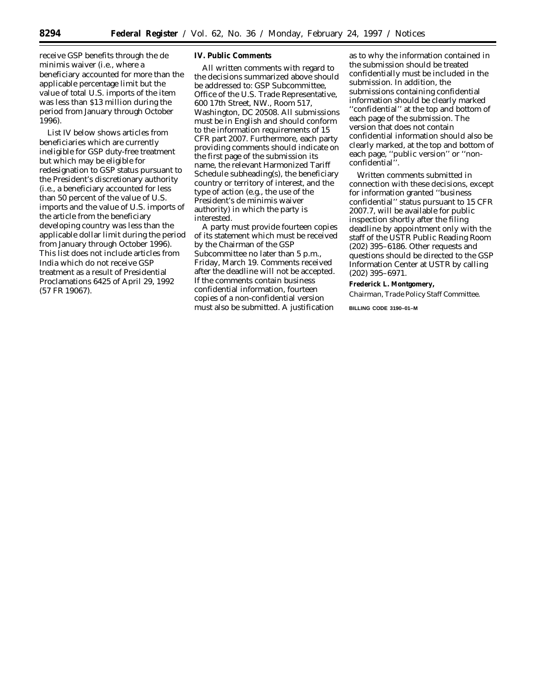receive GSP benefits through the *de minimis* waiver (i.e., where a beneficiary accounted for more than the applicable percentage limit but the value of total U.S. imports of the item was less than \$13 million during the period from January through October 1996).

List IV below shows articles from beneficiaries which are currently ineligible for GSP duty-free treatment but which may be eligible for redesignation to GSP status pursuant to the President's discretionary authority (i.e., a beneficiary accounted for less than 50 percent of the value of U.S. imports and the value of U.S. imports of the article from the beneficiary developing country was less than the applicable dollar limit during the period from January through October 1996). This list does not include articles from India which do not receive GSP treatment as a result of Presidential Proclamations 6425 of April 29, 1992 (57 FR 19067).

### **IV. Public Comments**

All written comments with regard to the decisions summarized above should be addressed to: GSP Subcommittee, Office of the U.S. Trade Representative, 600 17th Street, NW., Room 517, Washington, DC 20508. All submissions must be in English and should conform to the information requirements of 15 CFR part 2007. Furthermore, each party providing comments should indicate on the first page of the submission its name, the relevant Harmonized Tariff Schedule subheading(s), the beneficiary country or territory of interest, and the type of action (e.g., the use of the President's *de minimis* waiver authority) in which the party is interested.

A party must provide fourteen copies of its statement which must be received by the Chairman of the GSP Subcommittee no later than 5 p.m., Friday, March 19. Comments received after the deadline will not be accepted. If the comments contain business confidential information, fourteen copies of a non-confidential version must also be submitted. A justification

as to why the information contained in the submission should be treated confidentially must be included in the submission. In addition, the submissions containing confidential information should be clearly marked ''confidential'' at the top and bottom of each page of the submission. The version that does not contain confidential information should also be clearly marked, at the top and bottom of each page, ''public version'' or ''nonconfidential''.

Written comments submitted in connection with these decisions, except for information granted ''business confidential'' status pursuant to 15 CFR 2007.7, will be available for public inspection shortly after the filing deadline by appointment only with the staff of the USTR Public Reading Room (202) 395–6186. Other requests and questions should be directed to the GSP Information Center at USTR by calling (202) 395–6971.

**Frederick L. Montgomery,** *Chairman, Trade Policy Staff Committee.*

**BILLING CODE 3190–01–M**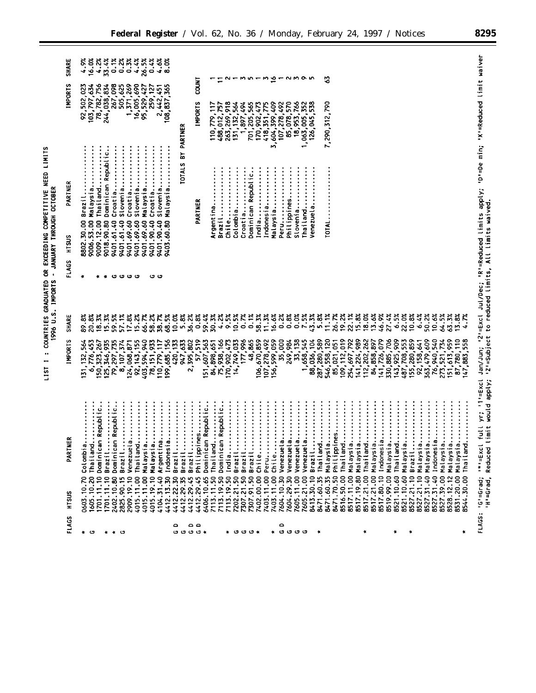| <b>NEED LIMITS</b>                           |                                     |
|----------------------------------------------|-------------------------------------|
|                                              |                                     |
|                                              |                                     |
|                                              |                                     |
|                                              |                                     |
| COUNTRIES GRADUATED OR EXCEEDING COMPETITIVE | . IMPORTS - JANJARY THROUGH OCTOBER |
|                                              | 1996 U.S.                           |
|                                              |                                     |
|                                              |                                     |
|                                              |                                     |
|                                              |                                     |

| SHARE<br><b>IMPORTS</b> | 4.9%<br>$8.388$<br>$8.388$<br>$8.38$<br>$8.58$<br>16.0%<br>4.2%<br>92, 502, 023<br>103, 797, 634<br>78, 782, 756<br>$267,098$<br>505,625<br>1,371,269<br>16,005,690<br>244,038,834<br>95,529,427<br>108,837,365<br>2,442,451<br>259,127                                                                                        | <b>LNICO</b><br><b>INPORTS</b>                                                                       | 213513比1<br><b>NMON</b><br>263,269,918<br>766<br>3,604,399,409<br>107,278,492<br>85,078,570<br>352<br>538<br>779,117<br>488,012,757<br>564<br>1,897,494<br>701,205,565<br>ίŻ<br>418, 351, 775<br>131, 132,<br>18,953,<br>170,902,<br>1,063,005,<br>126,045,<br>10, | ప<br>7,290,312,790                                                                                                                                                                                                                                                                                               |                                                                                                                                                                                    |
|-------------------------|--------------------------------------------------------------------------------------------------------------------------------------------------------------------------------------------------------------------------------------------------------------------------------------------------------------------------------|------------------------------------------------------------------------------------------------------|--------------------------------------------------------------------------------------------------------------------------------------------------------------------------------------------------------------------------------------------------------------------|------------------------------------------------------------------------------------------------------------------------------------------------------------------------------------------------------------------------------------------------------------------------------------------------------------------|------------------------------------------------------------------------------------------------------------------------------------------------------------------------------------|
| PARTNER<br>HISUS        | Dominican Republic.<br>Malaysia<br>Thailand.<br>Slovenia.<br>Croatia<br>Slovenia.<br>Croatia<br>Slovenia<br>Croatia<br>Malaysia<br>Malaysia<br>Brazil.<br>9018.90.80<br>8802.30.00<br>9009.12.00<br>9401.61.40<br>9401.61.40<br>9401.69.60<br>9401.69.60<br>9403.60.80<br>9006.53.00<br>9401.69.60<br>9401.90.40<br>9401.90.40 | <b>TOTALS BY PARTNER</b><br>PARTNER                                                                  | Dominican Republic.<br>Colombia<br>Indonesia<br>Malaysia<br>Chile<br>slovenia<br>Peru<br>Philippines.<br>Croatia<br>India<br>Thailand<br>Argentina.<br>Venezuela<br>Brazil                                                                                         | TOTAL                                                                                                                                                                                                                                                                                                            | full yr; '1'=Excl Jan/Jun; '2'=Excl Jul/Dec; 'R'=Reduced limits apply; 'D'=De min; 'X'=Reduced limit waiver<br>imit would apply; 'Z'=Subject to reduced limits, All limits waived. |
| FLAGS                   | ۰<br>ပ<br>ဖ ဖ<br>ပ<br>ں ن                                                                                                                                                                                                                                                                                                      |                                                                                                      |                                                                                                                                                                                                                                                                    |                                                                                                                                                                                                                                                                                                                  |                                                                                                                                                                                    |
|                         |                                                                                                                                                                                                                                                                                                                                |                                                                                                      |                                                                                                                                                                                                                                                                    |                                                                                                                                                                                                                                                                                                                  |                                                                                                                                                                                    |
| SHARE                   | 89.8%<br>20.8%<br>18.3%<br>15.3%<br>59.5%<br>57.1%<br>17.8%<br>15.2%<br>66.7%<br>58.2%<br>38.7%<br>68.5%                                                                                                                                                                                                                       | $10.0%$<br>5.8%<br>36.2%<br>59.4%<br>0.8%                                                            | 4.2%<br>16.6%<br>0.2%<br>0.8%<br>7.5%<br>43.3%<br>5.8%<br>10.5%<br>0.7%<br>0.1%<br>58.3%<br>11.3%<br>0.0%<br>30.3%                                                                                                                                                 | 11.1%<br>26.7%<br>22<br>2323<br>2423<br>46.9%<br>27.4%<br>6.5%<br>6.4%<br>19.2%<br>$22.0%$<br>$10.8%$<br>10.6%<br>64.5%<br>63.3%<br>50.2%<br>13.8%<br>ु                                                                                                                                                          |                                                                                                                                                                                    |
| <b>IMPORTS</b>          | 199,685,156<br>92, 143, 133<br>403, 594, 940<br>403, 594, 940<br>131, 132, 564<br>6,776,453<br>323,267<br>125, 346, 935<br>79,297,735<br>8, 107, 374<br>78, 151, 933<br>110,779,117<br>124,068,871<br>150,                                                                                                                     | $\begin{array}{r} \n (20, 133) \\ 947, 633 \\ 2, 395, 802 \\ 57, 519 \\ 151, 607, 563\n \end{array}$ | 287,280,589<br>170,902,473<br>14,749,033<br>17, 996<br>106,670,859<br>107,278,492<br>156,599,059<br>35,000<br>249,984<br>33,138<br>1,658,545<br>88,036,104<br>75,938,166<br>48,865<br>84,898,651<br>5.021                                                          | 546,558,120<br>109, 112, 019<br>254, 697, 792<br>141,224,989<br>112,202,262<br>141,726,079<br>330,885,706<br>143,925,909<br>155,280,859<br>92, 158, 641<br>363, 479, 609<br>76, 940, 540<br>708,553<br>151,613,959<br>87,780,110<br>47,883,558<br>84,858,897<br>273,521,734<br>85,021,051<br>487,7               |                                                                                                                                                                                    |
| ER<br>PARTN             | Dominican Republic.<br>Dominican Republic.<br>Argentina<br>a<br><br>a<br>Thailand<br>Malaysia<br>. <i>.</i> .<br>$\vdots$<br>:<br>Colombia<br>Thail and<br>Brazil<br>Venezuel<br>Malaysia<br>Indones <sub>i</sub><br>Brazil<br>Brazil.                                                                                         | Philippines<br>Dominican Republic<br>Brazil<br>Brazil                                                | Dominican Republic<br>Thailand<br>la<br><br>.<br>.<br>.<br>.<br>.<br>.<br>.<br>.<br>$\ddot{a}$<br>. <b>.</b><br>Thailand<br>India<br>Brazil<br>Brazil<br>Brazil<br>Chile<br>Peru<br>Venezuel<br>Brazil<br>Venezuel<br>Venezuel<br>Venezue<br>$\mathsf{chile}$ .    | Philippines<br>Thailand<br>Malaysia<br>Malaysia<br>Thailand<br>Malaysia<br>a. <b>.</b><br>Malaysia<br>Malaysia<br>Thailand<br>.<br>.<br>.<br>.<br>.<br>.<br>.<br><br>Malaysia<br>Malaysia<br>Malaysia<br>Malaysia<br>Malaysia<br>Malaysia<br>Thailand<br>Indones <sup>1</sup><br>Indones <sup>-</sup><br>Brazil. | limit would apply;<br>'H'=Grad, Reduced                                                                                                                                            |
| HTSUS                   | 4412.13.30<br>4015.11.00<br>1605.10.20<br>1701.11.10<br>1701.11.10<br>2402.10.80<br>2825.90.15<br>2909.19.10<br>4015.11.00<br>4015.19.10<br>4104.31.40<br>4412.22.30<br>0603.10.70                                                                                                                                             | 4412.29.35<br>6406.10.65<br>4412.29.45<br>4412.29.45                                                 | 7604.29.30<br>7113.19.50<br>7113.19.50<br>7403.11.00<br>7113.11.50<br>7307.21.50<br>7307.91.50<br>7403.11.00<br>7604.10.30<br>7605.11.00<br>7605.21.00<br>7402.00.00<br>8413.30.10<br>7202.21.50<br>8471.60.35                                                     | 8517.21.00<br>8521.10.60<br>8527.31.40<br>8517.11.00<br>8517.19.80<br>8517.21.00<br>8527.21.10<br>8471.70.50<br>8516.50.00<br>8519.99.00<br>8527.21.10<br>8527.39.00<br>8517.80.10<br>8521.10.60<br>8527.31.40<br>8471.60.35<br>8531.20.00<br>8544.30.00<br>8528.12.12                                           | FLAGS: 'G'=Grad; '*'=Excl                                                                                                                                                          |
| FLAGS                   | ٥<br>∗ ഗ<br>* * 0                                                                                                                                                                                                                                                                                                              | ە ە<br>ن ن ن ن<br>- 14                                                                               | $\circ$<br>c<br>ن ن ن<br>∗ ت ت م<br>۰                                                                                                                                                                                                                              | $\ddot{}$<br>۰<br>۰<br>۰                                                                                                                                                                                                                                                                                         |                                                                                                                                                                                    |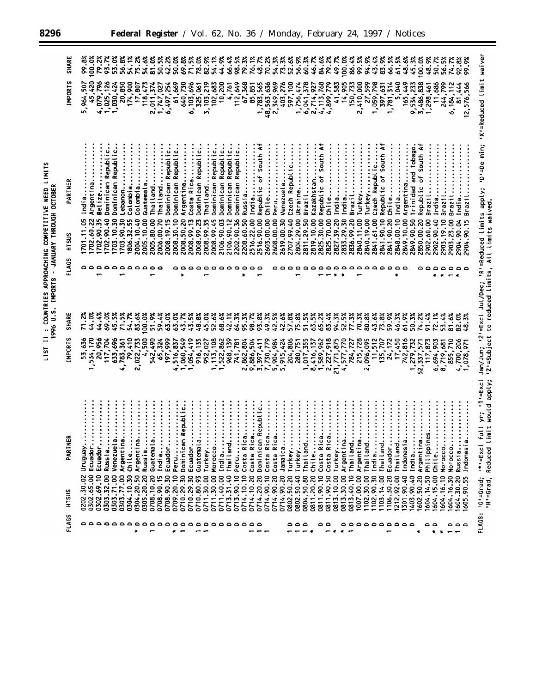| - JANUARY THROUGH OCTOBER |
|---------------------------|
| 1996 U.S. IMPORTS         |
|                           |
|                           |
|                           |
|                           |

| <b>SHARE</b>   | 99.8%<br>79.2%<br>100.0%               | 93.7%<br>56.8%                                                    | 54.1%                    | 54.6%<br>75.2X           | 50.5%<br>81.0%           | 42.2%                          | 50.0%               | 69.8%<br>71.5%                      | 78.0%                                            | 82.9%                            | 54.1%               | 44.9%<br>66.4%                                | 98.5%               | 79.3%                             | 76.1%<br>48.7%           | 70.2%                                            | 54.3%         | 73.3%      | 52.6%          | 56.9%<br>60.3%           | 46.7%                      | 84.6%                               | 79.2%         | 100.0%<br>49.7%                   | 86.4%                 | 99.5%      | 94.9%                      | 43.4%<br>83.9%                                                                                                                           | 66.5%                | 61.5%                 | 48.6%<br>45.3%                               | 100.0%                  | 48.9%       | 50.7%        | 56.5%      | 92.8%<br>74.78                   | 99.9%                    |                                                                                           |
|----------------|----------------------------------------|-------------------------------------------------------------------|--------------------------|--------------------------|--------------------------|--------------------------------|---------------------|-------------------------------------|--------------------------------------------------|----------------------------------|---------------------|-----------------------------------------------|---------------------|-----------------------------------|--------------------------|--------------------------------------------------|---------------|------------|----------------|--------------------------|----------------------------|-------------------------------------|---------------|-----------------------------------|-----------------------|------------|----------------------------|------------------------------------------------------------------------------------------------------------------------------------------|----------------------|-----------------------|----------------------------------------------|-------------------------|-------------|--------------|------------|----------------------------------|--------------------------|-------------------------------------------------------------------------------------------|
| <b>IMPORTS</b> | 45,420<br>4,079,796<br>5,964,507       | 1,025,126<br>1,030,424<br>20,850                                  | 174,900                  | 17,807<br>118,473        | 2,011,374<br>1,747,027   | 6,497,254                      | 61,669              | 640,730<br>6,103,696                |                                                  | 325,061<br>103,219<br>$\ddot{ }$ | 102,683             | 10,200<br>4,761                               |                     | $112,649$<br>$67,368$<br>$85,851$ |                          | 1,783,565<br>48,563,636                          | 2,349,969     | 403,276    | 597,100        | 1,756,474                | 6, 041, 378<br>2, 714, 927 | 4,113,768                           | 779<br>4,899, | 583<br>$\frac{1}{4}$              | 73<br>14,905<br>150,7 | 2,410,000  | 27,599                     | 798<br>397,631<br>1,059,7                                                                                                                | 1,781,314            | ទី<br>$\mathbf{r}$    | 165,449                                      | 3,486,838<br>9,534,233  | 1,298,461   | 11,686       | 244,799    | 444<br>6,184,1<br>$\overline{5}$ | 12,576,566               |                                                                                           |
| PARTNER        | Argentina<br>Belize<br>India.          | Dominican Republic.<br>Dominican Republic.<br>Lebanon             | Colombia                 | Colombia<br>Guatemala    | Thailand                 | Dominican Republic<br>Thailand | Dominican Republic. | Costa Rica<br>Argentina             | Dominican Republic.                              | $\ddot{\cdot}$<br>Thailand       | Dominican Republic. | Republic.<br>Dominican Republic.<br>Dominican | Dominican Republic. | Russia                            | India                    | Republic of South At<br>Chile                    | Peru          | Venezuela  | Czech Republic | Brazil<br>Ukraine        | Kazakhstan.                | Republic of South At                | Chile         | India                             | India<br>Brazil       | Turkey     | :<br>:<br>:<br>:<br>Turkey | Republic of South At<br>Czech Republic                                                                                                   | Chile                | India                 | Trinidad and Tobago<br>Argentina             | of South Af<br>Republic | Brazil      | India.       | Brazi      | Brazi                            | Brazil<br>India          | Jan/Jun; '2'=Excl Jul/Dec; 'R'=Reduced limits apply; 'D'=De min; 'X'=Reduced limit waiver |
| <b>HTSUS</b>   | 702.90.35<br>1701.11.05<br>702.60.22   | 702.90.40<br>1703.90.30<br>703.10.30                              | 806.32.55                | 2005.10.00<br>2004.10.40 | 2006.00.70<br>2005.80.00 | 2008.19.15                     | 2008.30.10          | 2008.50.20<br>2008.99.13            | 2008.99.23                                       | 2008.99.35                       | 2008.99.45          | 2106.90.03<br>2106.90.12                      | 2202.90.36          | 2208.60.50                        | 2516.22.00<br>2516.90.00 | 2603.00.00                                       | 2608.00.00    | 2619.00.30 | 2707.99.40     | 2804.29.00<br>2811.29.50 | 2819.10.00                 | 2825.30.00                          | 2825.70.00    | 2827.39.20<br>2833.29.30          | 2836.99.20            | 2840.11.00 | 2840.19.00                 | 2841.61.00<br>2841.90.10                                                                                                                 | 2841.90.20           | 2848.00.10            | 2849.90.50<br>2849.10.00                     | 2850.00.20              | 2902.60.00  | 2902.90.40   | 2903.19.10 | 2903.23.00<br>2904.90.04         | 2904.90.15               |                                                                                           |
| FLAGS          | ۵<br>٥                                 |                                                                   |                          |                          | Δ<br>≏                   |                                |                     | ۵                                   | $\circ$                                          | $\circ$                          |                     | 0000                                          |                     |                                   | ٥<br>$\circ$             |                                                  |               |            |                |                          | $\circ$                    |                                     |               |                                   | ٥٥٥٥                  | $\circ$    | $\circ$                    |                                                                                                                                          |                      |                       |                                              |                         |             |              |            |                                  |                          |                                                                                           |
|                |                                        |                                                                   |                          |                          |                          |                                |                     |                                     |                                                  |                                  |                     |                                               |                     |                                   |                          |                                                  |               |            |                |                          |                            |                                     |               |                                   |                       |            |                            |                                                                                                                                          |                      |                       |                                              |                         |             |              |            |                                  |                          |                                                                                           |
| <b>SHARE</b>   | 44.4%                                  | 69.0%<br>71.5%<br>45.5%                                           | 54.7%<br>83.6%           | 0.00.0%                  | 59.4%<br>51.9%           | 63.0%                          | 63.0%               | 43.7%<br>43.5%                      | 48.8%                                            | 45.0%                            | 52.6%               | 68.6%<br>42.1%                                | 64.3%               | 95.3%                             | 98.7%<br>93.8%           | 49.3%                                            | 42.5%         | 42.6%      | 57.8%          | 75.8%<br>51.5%           | 63.5%                      | 65.2%                               | 83.4%         | 94.3%<br>52.5%                    | 77.3%                 | 70.3%      | 80.8%                      | 43.6%<br>73.8%                                                                                                                           | 59.9%                | 46.3%                 | 50.3%<br>61.9%                               | 74.2%                   | 91.4%       | 72.1%        | 53.4%      | 81.6%<br>82.0%                   | $\frac{3}{2}$            |                                                                                           |
| <b>IMPORTS</b> | 53,636<br>20,956<br>1,534,170          | 117,704<br>633,696<br>4,783,361                                   | 2,022,733                |                          | 4,500<br>542,490         | 197,999<br>65,324              | 4,516,837           | 1,060,549<br>1,054,419              | 135<br>916,1                                     | 952,027                          | 1, 113, 108         | 968,139<br>1,522,862                          | 741,781             | 2,862,804                         | 9,886,504                | 3,397,411<br>7,730,779<br>5,904,984<br>5,915,424 |               |            | 204,806        | 1,017,355<br>280,751     |                            | 8,416,137<br>1,589,962<br>2,227,918 |               | 770<br>21,771,875<br>4,577,7      | 784,727               | 215,728    | 096,095<br>$\bar{a}$       | 512<br>707<br>$\frac{1}{2}$<br>135,                                                                                                      | 24,172               | 17,450                | 742,816                                      | 1,279,732<br>52,337,571 | 117,873     | 6,694,903    | 8,719,681  | 855,710<br>4,700,206             | 1,078,971                | "Z'=Subject to reduced limits, All limits waived.                                         |
| ≝<br>PARTN     | Ecuador<br>Ecuador<br>Ven6nJN          | $\frac{1}{2}$<br>$\frac{1}{a}$<br>Argentin<br>Venezuel<br>Russia. | Argentina<br>Chile       | Russia                   | <b>a</b> a<br>Guatemal   | India<br>Ecuador.              | Peru                | n Republic.<br>Dominica<br>Ecuador. | . <b>.</b> . <b>.</b> . <b>.</b><br><br>Guatemal | Turkey                           | Morocco.<br>.30.00  | India<br>Thailand                             | Peru                | $c$ a<br>Costa Ri                 | Costa Rica               | Dominican Republic.<br>ca<br>Costa Ri            | ca<br>Costa R | Jamaica.   | Turkey         | Turkey<br>Thailand       | Chile                      | ca<br>Costa R                       | Costa Rica    | Argentina<br>$\ddot{}}$<br>Turkey | Thailand              | Argentina  | Thailand                   | $\frac{1}{2}$ , $\frac{1}{2}$ , $\frac{1}{2}$ , $\frac{1}{2}$ , $\frac{1}{2}$ , $\frac{1}{2}$<br>India<br>Thailand<br>102.90.30<br>14.00 | $\vdots$<br>Ecuador. | Thailand<br>212.92.00 | Indonesia<br>India<br>403.90.40<br>301.90.40 | Argentina               | Philippines | chile        | Morocco.   | Morocco<br><b>Russia</b>         | ndones                   | full yr; '1'=Excl<br>limit would apply;<br>$1*1 = Excl$<br>Reduced                        |
| <b>SUSIH</b>   | 0302.65.00<br>0302.69.10<br>0202.30.02 | 0303.77.00<br>0303.32.00<br>0303.71.00                            | 0304.20.50<br>0304.10.30 | 0305.20.20               | 0708.90.15<br>0708.10.20 | 0708.90.30                     | 0709.20.10          | 0710.29.30<br>0710.29.30            | 0710.80.93                                       | 0711.30.00                       | 0711                | 0713.31.40<br>0711.40.00                      | 0713.90.10          | 0714.10.10                        | 0714.10.20<br>0714.20.20 | 0714.90.10                                       | 0714.90.20    | 0714.90.20 | 0802.50.20     | 0802.50.40<br>0804.50.80 | 0811.20.20                 | 0811.90.10                          | 0811.90.50    | 0813.10.00<br>0813.30.00          | 0813.40.10            | 1007.00.00 | 1102.30.00                 | 103.1                                                                                                                                    | 106.30.20            |                       |                                              | 602.50.20               | 604.14.50   | 604.15.00    | 604.16.10  | 604.16.30                        | 1604.30.20<br>1605.90.55 | :G-SGrad;<br>'H'=Grad,                                                                    |
| FLAGS          | ە ە<br>$\circ$                         | 0000000000000000000                                               | $\ddot{}$                |                          |                          |                                |                     |                                     |                                                  |                                  |                     |                                               |                     |                                   | ە ە                      |                                                  |               |            | ٥              | د ه                      |                            | ە ە                                 | $\cdot$       | 化                                 |                       |            |                            |                                                                                                                                          | aaaaaaaaa            |                       |                                              | ٠                       | ٥           | $\circ$<br>٠ | 化          | م م م<br>$\blacksquare$          |                          | <b>FLAGS:</b>                                                                             |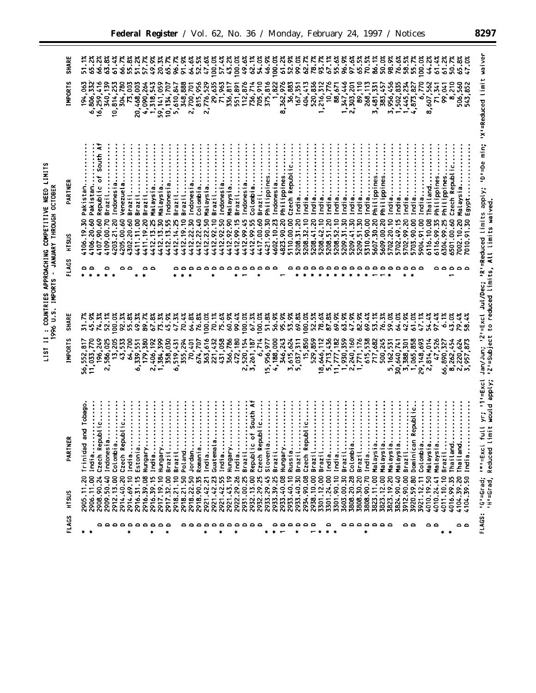| LIST II : COUNTRIES APPROACHING COMPETITIVE NEED LIMITS | 1996 U.S. IMPORTS - JANUARY THROUGH OCTOBER |
|---------------------------------------------------------|---------------------------------------------|
|                                                         |                                             |
|                                                         |                                             |
|                                                         |                                             |
|                                                         |                                             |
|                                                         |                                             |
|                                                         |                                             |
|                                                         |                                             |
|                                                         |                                             |
|                                                         |                                             |
|                                                         |                                             |
|                                                         |                                             |
|                                                         |                                             |
|                                                         |                                             |
|                                                         |                                             |
|                                                         |                                             |
|                                                         |                                             |
|                                                         |                                             |
|                                                         |                                             |

| <b>SHARE</b><br><b>IMPORTS</b> | 51.1%<br>66.2%<br>65.2%<br>416<br>332<br>194,063<br>6,806,<br>16, 259, 4                                            | 63.8%<br>ैं<br>2<br>340,139<br>10,814,253                                                    | 66.7%<br>55.8%<br>304,780<br>73,003                      | 51.2%<br>300<br>20,468,    | 57.7%<br>49.9%<br>4,090,264<br>543<br>1,318,                 | 20.3%<br><b>SS</b><br>59, 141,     | 65.7%<br>10, 134, 707    | 91.9%<br>96.7%<br>5,610,847<br>348,888        | 64.6%<br>2,700,701         | 52.5%<br>47.6%<br>815,956 | 100.0%<br>2,776,529                             | 57.4%<br>29,635<br>71,963 | 43.2%<br>336,817                    | 100.0%<br>551,891     | 49.6%<br>62.1%<br>112,876<br>736,714                          | 54.0%                        | 46.9%<br>705,910<br>375,816 | 100.0%                            | 61.2%<br>1,822<br>8,362,976                                                                                                                                                                                                                                                                                                                 | 52.9%<br>99.0%<br>36,883<br>167,351                      | 62.7%<br>413<br>404,4         | 78.7%<br>520,836                   | 67.1%<br>93.7%<br>312<br>1,216,7  | 10,776<br>88,671                 | 55.6%                 | 97.6%<br>1,347,446<br>2,303,201 | 65.5%<br>70.5%<br>89,110<br>113<br>268.     | 86.1%<br>3,481,331        | 50.0%<br>383,457           | 98.9%<br>76.6%<br>3,956,456<br>835                 | 58.5%<br>1,445,234<br>, 502, | 55.7%<br>4,873,827                   | 100.0%<br>770<br>$\mathbf{s}$ | 44.2%<br>8,607,562      | 61.4%<br>341<br>$\frac{1}{2}$ | 61.2%<br>$\tilde{a}$<br>$\mathbf{e}$ | 50.7%<br>65.8%<br>8,210<br>560<br>506.                | ້ອຸ<br>$\overline{47}$<br>543,852 | waiver<br>'D'=De min; 'X'=Reduced limit                                                                   |
|--------------------------------|---------------------------------------------------------------------------------------------------------------------|----------------------------------------------------------------------------------------------|----------------------------------------------------------|----------------------------|--------------------------------------------------------------|------------------------------------|--------------------------|-----------------------------------------------|----------------------------|---------------------------|-------------------------------------------------|---------------------------|-------------------------------------|-----------------------|---------------------------------------------------------------|------------------------------|-----------------------------|-----------------------------------|---------------------------------------------------------------------------------------------------------------------------------------------------------------------------------------------------------------------------------------------------------------------------------------------------------------------------------------------|----------------------------------------------------------|-------------------------------|------------------------------------|-----------------------------------|----------------------------------|-----------------------|---------------------------------|---------------------------------------------|---------------------------|----------------------------|----------------------------------------------------|------------------------------|--------------------------------------|-------------------------------|-------------------------|-------------------------------|--------------------------------------|-------------------------------------------------------|-----------------------------------|-----------------------------------------------------------------------------------------------------------|
| PARTNER<br>HTSUS               | South Af<br>Republic of<br>Pakistan<br>Pakistan.<br>4106.19.30<br>4106.20.60<br>4107.90.60                          | Indonesia<br>Brazil.<br>4203.21.20<br>4109.00.70                                             | Brazil<br>Venezuela<br>4205.00.60<br>4302.20.60          | Brazil<br>4411.11.00       | Malaysia<br>Brazil<br>4411.19.20<br>13.25<br>4412.1          | Malaysia<br>4412.13.30             | Indonesia.<br>4412.13.55 | Brazil<br>Brazil<br>4412.19.10<br>4412.14.25  | Indonesia<br>4412.22.30    | Colombia<br>4412.22.40    | Brazil<br>Malaysia.<br>4412.22.50<br>4412.92.10 | Indonesia.                | Malaysia<br>4412.92.50              | Brazil<br>4412.99.15  | Indonesia<br>Colombia<br>4412.99.45<br>4412.99.55             | Brazil<br>4417.00.60         | Philippines<br>4421.90.30   | Indonesia<br>4602.10.23           | Philippines<br>4823.90.20                                                                                                                                                                                                                                                                                                                   | Czech Republic.<br>India<br>5208.31.20<br>5110.00.00     | India<br>5208.32.10           | India<br>5208.41.20                | India<br>5208.51.20<br>5208.42.10 | India<br>India<br>5208.52.10     | India<br>5209.31.30   | India<br>5209.41.30             | India<br>India<br>5209.51.30<br>5310.90.00  | Philippines<br>5607.30.20 | Philippines.<br>5609.00.20 | India<br>5702.20.10<br>5702.49.15                  | India<br>India<br>5702.99.20 | India<br>5703.90.00                  | India<br>5904.91.00           | Thailand<br>6116.10.08  | Philippines<br>6116.99.35     | Philippines<br>6304.99.25            | Czech Republi<br>Malaysia<br>7002.10.20<br>6501.00.60 | Egypt<br>7010.91.30               |                                                                                                           |
| FLAGS                          | ۵<br>$\circ$                                                                                                        | ٥                                                                                            | ٥<br>٥                                                   |                            | ۰<br>e                                                       |                                    |                          |                                               |                            | ٥                         | $\circ$<br>۵                                    | $\circ$                   | $\circ$                             | $\bullet$             | $\circ$<br>$\circ$                                            | $\circ$                      | د م                         |                                   |                                                                                                                                                                                                                                                                                                                                             |                                                          | $\circ$                       | ٥                                  | ٥<br>$\circ$                      |                                  | $\circ$               | $\sim$                          | ه ه                                         | $\circ$                   | $\circ$                    | $\bullet$                                          |                              |                                      |                               |                         | ≏                             | $\bullet$                            | ٥                                                     | ە ە                               |                                                                                                           |
| <b>SHARE</b><br><b>MPORTS</b>  | $\ddot{\mathbf{S}}$<br>74.3%<br>196,249<br>56,552,817<br>11,033,770                                                 | 52.1%<br>100.0%<br>2,586,025<br>13,205                                                       | 92.3%<br>55.8%<br>200<br>43,533<br>64,                   | 49.3%<br>551<br>339,<br>ò, | 89.7%<br>$.8\%$<br>$\overline{5}$<br>179,380<br>š<br>2,406,1 | 73.3%<br>1,384,399                 | 45.9%<br>358,030         | 47.3%<br>70.4%<br>519,431<br>۰.               | 64.8%<br>355,294<br>70,401 | 76.8%<br>707<br>674.      | 100.0%<br>70.1%<br>363,616<br>221,432           | 75.6%<br>431,058          | 60.9%<br>366,786                    | 99.4%<br>180<br>472,1 | 100.0%<br>67.3%<br>520, 154<br>3,261,187<br>$\ddot{\sim}$     | 100.0%<br>74<br>.<br>ه       | 51.8%<br>15,956,977         | 56.9%<br>4,188,000                | 95.9%<br>346,243                                                                                                                                                                                                                                                                                                                            | 53.9%<br>69.8%<br>3,615,624                              | 100.0%<br>5,037,311<br>15,850 | 52.5%<br>529,859                   | 78.6%<br>87.8%<br>8,646,112       | 69.9%<br>5,713,436<br>11,777,182 | 63.9%<br>1,930,359    | 47.9%<br>2,240,160              | 82.9%<br>69.4%<br>1,771,176<br>615,538      | 53.1%<br>717,682          | 76.3%<br>500,245           | 59.0%<br>64.0%<br>162,531<br>້                     | 42.9%<br>30,640,741          | 61.0%<br>3,388,301<br>1,065,858      | 47.1%<br>29, 148, 693         | 54.4%<br>2,814,014      | 97.4%<br>47,526               | 6.1%<br>43<br>66,890,327             | č,<br>79.4%<br>8,262,454                              | 58.4%<br>2,220,624                | Jan/Jun; '2'=Excl Jul/Dec; 'R'=Reduced limits apply;<br>'2'=Subject to reduced limits, All limits waived. |
| ≃<br>PARTNE<br>HTSUS           | and Tobago<br>$\ddot{}}$ : : : : :<br>Czech Republic<br>Trinidad<br>India<br>2906.11.00<br>2908.90.24<br>2905.11.20 | $\frac{1}{2}$<br>$\vdots$<br>$\bullet$<br>Indonesia<br>Colombia.<br>2909.50.40<br>2912.13.00 | <br>Czech Republic.<br>India<br>2914.40.20<br>2914.69.10 | Estonia.<br>2916.31.15     | Hungary<br>India<br>2916.39.08<br>2916.39.15                 | $\bullet$<br>Hungary<br>2917.19.10 | Brazil<br>2917.32.00     | Brazil<br>Poland.<br>2918.21.50<br>2918.21.10 | Jordan<br>2918.22.50       | Romania.<br>2918.90.35    | Guatemala<br>India<br>2921.42.21<br>2921.42.23  | India                     | Hungary<br>2921.42.55<br>2921.43.19 | India<br>2922.29.26   | of South Af<br>Brazil<br>Republic<br>2931.00.25<br>2932.13.00 | Czech Republic<br>2932.29.25 | Slovenia.<br>2933.29.45     | $\ddot{}$<br>Brazil<br>2933.39.25 | $\ddot{}}$ $\ddot{}}$ $\ddot{}}$ $\ddot{}}$ $\ddot{}}$ $\ddot{}}$ $\ddot{}}$ $\ddot{}}$ $\ddot{}}$ $\ddot{}}$ $\ddot{}}$ $\ddot{}}$ $\ddot{}}$ $\ddot{}}$ $\ddot{}}$ $\ddot{}}$ $\ddot{}}$ $\ddot{}}$ $\ddot{}}$ $\ddot{}}$ $\ddot{}}$ $\ddot{}}$ $\ddot{}}$ $\ddot{}}$ $\ddot{}}$ $\ddot{}}$ $\ddot{}}$ $\ddot{$<br>Hungary.<br>2933.40.08 | $\vdots$<br>Russia<br>Brazil<br>2933.40.10<br>2933.40.30 | Czech Republic<br>2934.90.08  | Brazil<br>2938.10.00<br>3301.12.00 | Brazil<br>3301.24.00              | India<br>India<br>3301.90.10     | Brazil.<br>3603.00.30 | Colombia.<br>3808.20.28         | Brazil<br>India<br>3808.90.70<br>3808.30.20 | Malaysia.<br>3823.11.00   | Malaysia.<br>3823.12.00    | Malaysia.<br>Malaysia.<br>3824.90.40<br>3823.19.20 | Brazil<br>3912.90.00         | Republic.<br>Dominicar<br>3920.59.80 | Colombia.<br>3921.12.11       | Malaysia.<br>4010.19.50 | Malaysia.<br>4010.24.41       | Brazil<br>4011.10.10                 | Thailand<br>Thailand<br>4104.39.20<br>4016.99.35      | India.<br>ņ<br>4104.39            | full yr; '1'=Excl<br>imit would apply;<br>'H'=Grad, Reduced L<br>FLAGS: "G"=Grad; "*"=Excl                |
| FLAGS                          | ۰                                                                                                                   | a a a a a a a a a                                                                            | ×                                                        |                            | ł                                                            |                                    |                          |                                               | <b>00000000000</b>         |                           | $\bullet$                                       | $\bullet$                 |                                     | $\ddot{\phantom{1}}$  |                                                               |                              | ×                           |                                   |                                                                                                                                                                                                                                                                                                                                             | .<br>÷                                                   |                               |                                    | ٥                                 |                                  |                       |                                 | ×                                           | <b>0000000</b>            |                            |                                                    |                              | د د                                  |                               | ه ه                     |                               | ٠<br>$\ddot{\phantom{1}}$            |                                                       | ە ە                               |                                                                                                           |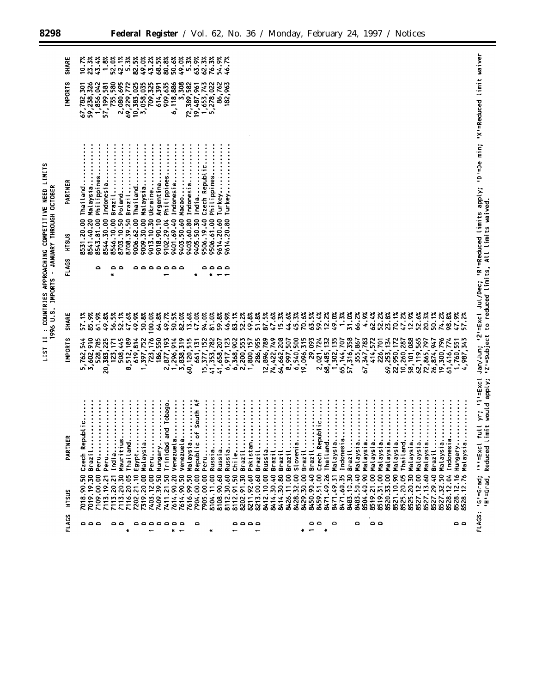|                                    | SHARE<br><b>INPORTS</b> | $10.7%$<br>23.3%<br>43.4%<br>1.8%<br>52.0%<br>42.3%<br><b>. ភីភី</b><br>១. ភីភី<br>១. ភីភី<br>54.9%<br>46.7%<br>735,580<br>326<br>2,080,695<br>69,229,772<br>10,383,025<br>10,383,035<br>3,058,035<br>909,635<br>6,118,886<br>$\begin{array}{c} 3,308 \\ 72,389,582 \\ 19,487,961 \\ 1,653,743 \\ 1,653,743 \\ 5,278,022 \end{array}$<br>86,762<br>182,963<br>1,856,042<br>57,199,581<br>614,391<br><b>501</b><br>67,782,3<br>59,238,3                                                                                                                                                                                                                                                                                                                                                                                                                                                                                                                                                                                                                                                                                                                                                                                                                                                                                                                                                                                                                                                                                                                                                                                                                                                                                                                                                                                                                                                                                                                                                                                                                                                                                                                                                 |                                                                                                                                                          | 'D'=De min; 'X'=Reduced limit waiver                                                                      |
|------------------------------------|-------------------------|----------------------------------------------------------------------------------------------------------------------------------------------------------------------------------------------------------------------------------------------------------------------------------------------------------------------------------------------------------------------------------------------------------------------------------------------------------------------------------------------------------------------------------------------------------------------------------------------------------------------------------------------------------------------------------------------------------------------------------------------------------------------------------------------------------------------------------------------------------------------------------------------------------------------------------------------------------------------------------------------------------------------------------------------------------------------------------------------------------------------------------------------------------------------------------------------------------------------------------------------------------------------------------------------------------------------------------------------------------------------------------------------------------------------------------------------------------------------------------------------------------------------------------------------------------------------------------------------------------------------------------------------------------------------------------------------------------------------------------------------------------------------------------------------------------------------------------------------------------------------------------------------------------------------------------------------------------------------------------------------------------------------------------------------------------------------------------------------------------------------------------------------------------------------------------------|----------------------------------------------------------------------------------------------------------------------------------------------------------|-----------------------------------------------------------------------------------------------------------|
| JANUARY THROUGH OCTOBER            | PARTNER<br>HTSUS        | Indonesia<br>Thailand<br>Brazil<br>Malaysia<br>Macao<br>Indonesia<br>Czech Republic<br>Philippines<br>Philippines<br>Poland<br>Malaysia<br>Indonesia<br>Ukraine<br>Argentina<br>Philippines<br>Brazil<br>India<br>Thailand.<br>Turkey<br>Turkey.<br>9009.30.00<br>9403.60.80<br>9405.50.30<br>8544.30.00<br>8546.10.00<br>8708.39.50<br>9013.10.30<br>9018.90.10<br>9102.29.04<br>9403.50.60<br>8703.10.50<br>9614.20.60<br>8543.81.00<br>9006.62.00<br>9506.19.40<br>9506.61.00<br>8541.40.20<br>8531.20.00<br>9614.20.80                                                                                                                                                                                                                                                                                                                                                                                                                                                                                                                                                                                                                                                                                                                                                                                                                                                                                                                                                                                                                                                                                                                                                                                                                                                                                                                                                                                                                                                                                                                                                                                                                                                             |                                                                                                                                                          |                                                                                                           |
| $\pmb{\cdot}$<br>1996 U.S. IMPORTS | FLAGS<br>SHARE          | a a a a a a a<br>٥<br>ە م<br>٥٥٥٥<br>$\bullet$<br>×<br>$\bullet$<br>51.8%<br>87.5%<br>44.6%<br>45.3%<br>63.5%<br>59.4%<br>12.2%<br>49.0%<br>1.3%<br>31.0%<br>66.2%<br>4.9%<br>62.4%<br>52.3%<br>70.1%<br>47.2%<br>12.9%<br>52.6%<br>20.3%<br>85.9%<br>50.5%<br>47.0%<br>94.0%<br>81.0%<br>59.8%<br>46.9%<br>83.1%<br>52.2%<br>49.8%<br>47.6%<br>15.3%<br>70.6%<br>57.1%<br>61.9%<br>52.1%<br>47.6%<br>50.8%<br>100.0%<br>64.8%<br>49.7%<br>82.0%<br>13.6%<br>49.8%<br>56.5%<br>49.9%                                                                                                                                                                                                                                                                                                                                                                                                                                                                                                                                                                                                                                                                                                                                                                                                                                                                                                                                                                                                                                                                                                                                                                                                                                                                                                                                                                                                                                                                                                                                                                                                                                                                                                   | 50.1%<br>74.2%<br>98.8%<br>47.9%<br>57.2%                                                                                                                | Jan/Jun; '2'=Excl Jul/Dec; 'R'=Reduced limits apply;<br>'2'=Subject to reduced limits, All limits waived. |
|                                    | <b>INPORTS</b>          | 723, 176<br>189<br>397,752<br>550<br>2,877,193<br><b>S19</b><br>15, 377, 152<br>789<br>749<br>64,662,208<br>6,540,500<br>29,093<br>2,021,724<br>132<br>135<br>57,316,358<br>347,783<br>414,572<br>69, 253, 134<br>22, 950, 172<br>10, 260, 287<br>58, 101, 088<br>565<br>910<br>619, 814<br>914<br>515<br>661, 131<br>6,917,123<br>902<br>2,200,553<br>1,800,157<br>286,955<br>507<br>19,096,315<br>707<br>355,867<br>701<br>72, 865, 797<br>26, 874, 947<br>528,785<br>445<br>41,353,782<br>41,658,207<br>544<br>225<br>123,171<br>$68,485,1$<br>1, 302, 1<br>226,7<br>74,422,7<br>65, 144,<br>20,383,<br>512,<br>186.<br>60,120,<br>12,896,<br>8,997,<br>62, 119,<br>5,762,5<br>508,<br>1,296,<br>3,838,<br>368,<br>ुं<br>$\mathfrak{c}$<br>ຜັ                                                                                                                                                                                                                                                                                                                                                                                                                                                                                                                                                                                                                                                                                                                                                                                                                                                                                                                                                                                                                                                                                                                                                                                                                                                                                                                                                                                                                                       | 19,300,796<br>61,416,774<br>343<br>551<br>4,987,<br>1,760,                                                                                               | full yr; "1'=Excl<br>imit would apply;                                                                    |
|                                    | œ<br>PARTNE             | of South Af<br>and Tobago.<br><br>:<br>:<br>:<br>:<br>:<br><b></b><br>Venezuela<br><br><br>$\ddot{}}$<br><br><br><br>$\begin{array}{c} \bullet \\ \bullet \\ \bullet \end{array}$<br>Czech Republic<br>$\ddot{}}$ $\ddot{}}$ $\ddot{}}$ $\ddot{}}$ $\ddot{}}$ $\ddot{}}$ $\ddot{}}$ $\ddot{}}$ $\ddot{}}$ $\ddot{}}$ $\ddot{}}$ $\ddot{}}$ $\ddot{}}$ $\ddot{}}$ $\ddot{}}$ $\ddot{}}$ $\ddot{}}$ $\ddot{}}$ $\ddot{}}$ $\ddot{}}$ $\ddot{}}$ $\ddot{}}$ $\ddot{}}$ $\ddot{}}$ $\ddot{}}$ $\ddot{}}$ $\ddot{}}$ $\ddot{$<br><b></b><br>$\begin{bmatrix} 1 & 1 & 1 & 1 \\ 1 & 1 & 1 & 1 \\ 1 & 1 & 1 & 1 \\ 1 & 1 & 1 & 1 \\ 1 & 1 & 1 & 1 \\ 1 & 1 & 1 & 1 \\ 1 & 1 & 1 & 1 \\ 1 & 1 & 1 & 1 \\ 1 & 1 & 1 & 1 \\ 1 & 1 & 1 & 1 \\ 1 & 1 & 1 & 1 & 1 \\ 1 & 1 & 1 & 1 & 1 \\ 1 & 1 & 1 & 1 & 1 \\ 1 & 1 & 1 & 1 & 1 \\ 1 & 1 & 1 & 1 & 1 \\ 1 & 1 & 1 & 1 & 1 \\ 1 & $<br><b></b><br>:<br>:<br>:<br>:<br>:<br>:::::::<br>:<br>:<br>:<br>:<br>$\ddot{}}$ :<br>Czech Republic.<br>$\ddot{\cdot}$<br>$\bullet$<br>Indonesia<br>India<br>Mauritius<br>Thail and.<br>Egypt<br>Malaysia.<br>Peru<br>Hungary<br>Venezuel a<br>Malaysia.<br>Peru<br>Pakistan.<br>Brazil<br>Brazil<br>Slovenia.<br>Brazil<br>Brazil<br>Brazil<br>Malaysia.<br>Malaysia.<br>Malaysia<br>Malaysia.<br>Malaysia<br>Malaysia<br>Malaysia<br>Malaysia<br>Malaysia<br>Thailand<br>Malaysia<br><b>Trinidad</b><br>Republic<br>Thailand<br>Brazil<br>Peru<br>Peru<br>Russia<br>Russia<br>Brazil<br>Russia<br>Brazil<br>Brazil<br>Russia<br>Chile<br>7411.21.50<br>7616.99.50<br>7614.90.50<br>7614.90.20<br>8211.92.60<br>8213.00.60<br>7319.20.00<br>7403.12.00<br>7904.00.00  <br>7905.00.00  <br>8108.90.60<br>8471.49.26<br>8471.60.35<br>8483.10.30<br>8525.20.05<br>7019.19.30<br>7409.39.50<br>8112.91.50<br>8202.91.30<br>8414.30.40<br>8414.30.80<br>8426.11.00<br>8428.32.00<br>8429.30.00<br>8450.90.40<br>8483.50.40<br>8504.40.90<br>8519.21.00<br>8519.31.00<br>8520.33.00<br>8527.13.60<br>7113.20.30<br>7116.20.05<br>7202.21.10<br>8104.11.00<br>8112.30.60<br>8412.10.00<br>8459.51.00<br>8471.49.31<br>8525.20.30<br>8527.12.00<br>7018.90.50<br>7109.00.00<br>8521.10.90<br>7113.20.21<br>7113.19.21 | Indonesia<br>Malaysia<br>Brazil<br>œ<br>Hungary<br>Malaysi<br>8527.32.50<br>8527.29.40<br>8528.12.04<br>8528.12.16<br>$\boldsymbol{\tilde{z}}$<br>$\sim$ | $1 \times 1 = Excl$<br>Reduced<br>'H'=Grad,                                                               |
|                                    | HISUS<br>FLAGS          | ە ە<br>$\circ$<br>۵<br>$\circ$<br>ە ە ە<br>ە ە<br>aaaaaaa<br>$\circ$<br>٥٥٥٥<br>$\ast$<br>۰<br>$\overline{\phantom{0}}$<br>٠<br>$\overline{\phantom{0}}$<br>$\blacksquare$<br>$\overline{\phantom{0}}$<br>$\ddot{}$<br>$\overline{\phantom{0}}$<br>۰.                                                                                                                                                                                                                                                                                                                                                                                                                                                                                                                                                                                                                                                                                                                                                                                                                                                                                                                                                                                                                                                                                                                                                                                                                                                                                                                                                                                                                                                                                                                                                                                                                                                                                                                                                                                                                                                                                                                                  | 8528<br>ە ە                                                                                                                                              | FLAGS: 'G'=Grad;                                                                                          |

LIST II : COUNTRIES APPROACHING COMPETITIVE NEED LIMITS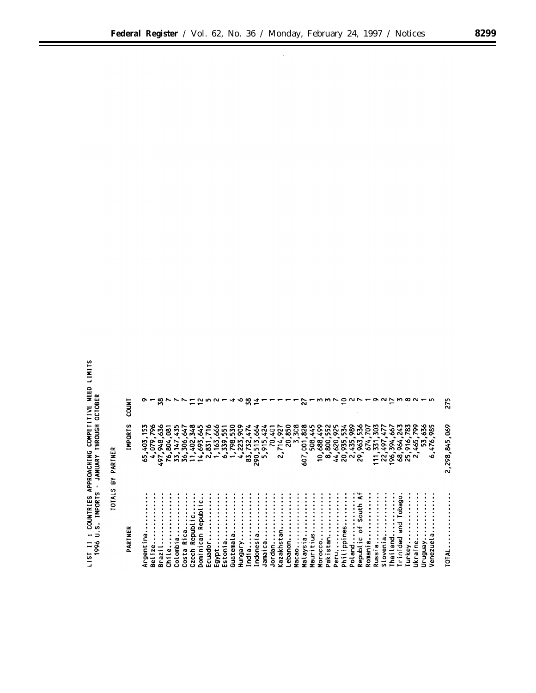LIST II : COUNTRIES APPROACHING COMPETITIVE NEED LIMITS<br>1996 U.S. IMPORTS - JANUARY THROUGH OCTOBER

|               | COUNT          |                                                                         |                  | జ                                |                                  |                   |                       |                              |                                          |                    |                      |                                                    |           | ∾      | ∞<br>m     |                   |                                    |        |                                   |                      |                         | $\mathbf{\tilde{N}}$          |             |                                                       |               |      |                                 | 0.022                                                                        |                                 |       |                                         |        |                    |                             | $ONN$ $\alpha$ $N-n$                                    |                               |                                                    |                                                        | 275                         |
|---------------|----------------|-------------------------------------------------------------------------|------------------|----------------------------------|----------------------------------|-------------------|-----------------------|------------------------------|------------------------------------------|--------------------|----------------------|----------------------------------------------------|-----------|--------|------------|-------------------|------------------------------------|--------|-----------------------------------|----------------------|-------------------------|-------------------------------|-------------|-------------------------------------------------------|---------------|------|---------------------------------|------------------------------------------------------------------------------|---------------------------------|-------|-----------------------------------------|--------|--------------------|-----------------------------|---------------------------------------------------------|-------------------------------|----------------------------------------------------|--------------------------------------------------------|-----------------------------|
| <b>PARTNE</b> | <b>IMPORTS</b> | m<br>m<br>$\overline{\phantom{0}}$<br>$\ddot{\phantom{1}}$<br>in.<br>۰o | 58<br>403<br>079 | $\infty$<br>ィト<br>$\bullet$<br>÷ | 385<br>$\bullet$<br>žŠ.<br>28822 | <b>147</b>        | 306                   | 402<br>٠                     | ٠                                        | 831<br>٠<br>$4N +$ |                      | 3332355823335<br>2888255<br>$\bullet$<br>$0 - 1$ M | $\bullet$ | ۰      | $\infty$   | <b>NMM</b><br>290 | $\overline{\phantom{0}}$<br>$\sim$ | 5      | $\rightarrow$<br>÷<br>N<br>$\sim$ | $\circ$<br>$\bar{N}$ | <b>22888</b><br>M       | $\overline{5}$<br>507         | 508         | $\ddot{\phantom{0}}$<br>0<br>$\overline{\phantom{0}}$ |               |      |                                 | <b>SSSSSSSSS</b><br>8888538<br>$\infty$ $\approx$ $\approx$ $\sim$ $\approx$ | ٠                               | 25228 | ۰<br>↽<br>$\overline{\phantom{0}}$<br>⊷ | ٠<br>۰ | ٠                  | <b>SE22582</b><br>964       | ۰<br>$\overline{\phantom{0}}$<br>$\bullet$<br>่สะชีตั้ง | ∾<br>Ō<br><b>in</b><br>∾<br>÷ | ∿ວທ<br>m<br>۰ó<br>$\bullet$<br>$\mathbf{M}$<br>in. | $\infty$<br>$\circ$<br>∾<br>~<br><b>A</b><br>$\bullet$ | \$90<br>298, 845,<br>$\sim$ |
| ⋚             | PARTNER        | c<br>$\cdot$ $-$<br>پ<br>Ē<br>o,<br>œ                                   | Φ<br>œ           | ă<br>L<br>$\mathbf{a}$           | $\overline{5}$                   | ۔۔<br>ol omb<br>Ō | σ<br>Ö<br>÷<br>$\sim$ | epubl<br>œ<br>Costa<br>Czech | ٥<br>Φ<br>$\alpha$<br>နူ<br>ن<br>Dominic | cuador<br>ш.       | ٠<br>Egypt.<br>Eston | መ<br>stonia                                        | Guatema   | Hungar | ٠<br>India | Indones           | Jamaic                             | Jordan | Kazakhst                          | Lebanon              | ٠<br>$\bullet$<br>Macao | ٠<br>ø<br>Malays <sup>-</sup> | 3<br>Maurit | Morocco                                               | tan<br>Pakist | Peru | ۊ<br>reru<br>Philippi<br>Poland |                                                                              | ह<br>o<br>÷<br>Republ<br>Romani | a     | Russia.<br>Slovenia                     | œ      | na<br>ana<br>Thail | ္တ<br>န္မီ<br>옪<br>Trinidad | Turkey                                                  | Jkraine                       | Ven6n.un                                           | œ<br>enezue<br>∍                                       | TOTAL                       |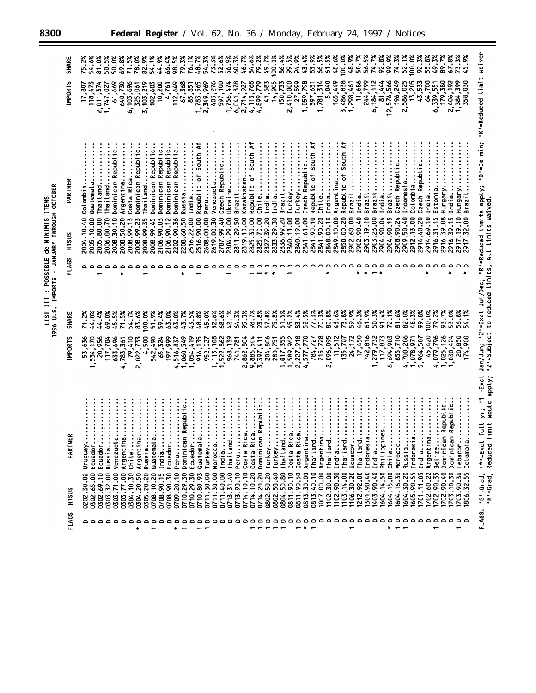| <b>TEMS</b>       | OCTOBEF         |
|-------------------|-----------------|
| .<br>.<br>NININIS | <b>THROICH</b>  |
| ಕೆ                | <b>ANUARY</b>   |
| POSSIBLE          | PORTS           |
| LIST 111          | s:<br>⇒<br>1996 |

| SHARE<br><b>IMPORTS</b> | 17,807                 | 81.0%<br>54.6%<br>118,473<br>2,011,374            | 50.5%<br>1,747,027        | 50.0%<br>61,669                  | 69.8%<br>640,730        | 71.5%<br>103,696<br>$\dot{\bm{\delta}}$ | 78.0%<br>325,061                 | 54.1%<br>82.9%<br>3, 103, 219 | ő<br>$\frac{4}{3}$<br>102,683     | 66.4%<br>10,200                                                        | 98.5%<br>112,649<br>4,761         | 79.3%<br>67,368                 | 76.1%<br>85,851                           | 48.7<br>1,783,565                 | 54.3%<br>75.3%<br>2,349,969 | 403,276<br>597,100       |                              | 56.9%<br>1,756,474 | 60.3%<br>6,041,378   | 84.6%<br>46.7%<br>š<br>2,714,5               | 79.2<br>4, 113, 768<br>4, 899, 779            | 49.7%<br>$\frac{1}{4}$       | 100.0%                      | 86.43<br>14,905<br>150,733 | 99.5%<br>2,410,000   | 94.99                                                             | 43.4%<br>27,599<br>1,059,798<br>397,631 | 83.9%                                       | 66.5%<br>1,781,314  | 61.5%<br>5,040      | 100.0%<br>48.6%<br>165,449                     | 48.9%<br>3,486,838<br>1,298,461<br>11,686 | 50.7%               | 56.5%<br>244,799     | 74.7%<br>6, 184, 112<br>81, 444<br>12, 576, 566  | 92.8%               | 99.9%<br>74.3%                     | 52.1%<br>196,249                           | 100.0%                               | 92.3%<br>2,586,025<br>13,205<br>43,533 | 55.8%               | 49.3%                 | 89.7%<br>64,700<br>6,339,551<br>179,380 | 67.8%<br>2,406,192                  | 1,384,399             | õ<br>358,030      | Weduced limit waiver                                                |                                                  |
|-------------------------|------------------------|---------------------------------------------------|---------------------------|----------------------------------|-------------------------|-----------------------------------------|----------------------------------|-------------------------------|-----------------------------------|------------------------------------------------------------------------|-----------------------------------|---------------------------------|-------------------------------------------|-----------------------------------|-----------------------------|--------------------------|------------------------------|--------------------|----------------------|----------------------------------------------|-----------------------------------------------|------------------------------|-----------------------------|----------------------------|----------------------|-------------------------------------------------------------------|-----------------------------------------|---------------------------------------------|---------------------|---------------------|------------------------------------------------|-------------------------------------------|---------------------|----------------------|--------------------------------------------------|---------------------|------------------------------------|--------------------------------------------|--------------------------------------|----------------------------------------|---------------------|-----------------------|-----------------------------------------|-------------------------------------|-----------------------|-------------------|---------------------------------------------------------------------|--------------------------------------------------|
| PARTNER<br>HISUS        | Colombia<br>2004.10.40 | Thailand<br>Guatemala<br>2005.80.00<br>2005.10.00 | Thailand<br>2006.00.70    | Dominican Republic<br>2008.30.10 | Argentina<br>2008.50.20 | Costa Rica<br>2008.99.13                | Dominican Republic<br>2008.99.23 | Thailand<br>2008.99.35        | Dominican Republic.<br>2008.99.45 | Dominican Republic.<br>Dominican Republic.<br>2106.90.03<br>2106.90.12 | Dominican Republic.<br>2202.90.36 | 2208.60.50                      | $\vdots$<br>Russia<br>India<br>2516.22.00 | Republic of South A<br>2516.90.00 | Peru<br>2608.00.00          | Venezuela.<br>2619.00.30 | Czech Republic<br>2707.99.40 | Ukraine            | Brazil<br>2811.29.50 | Kazakhstan.<br>2819.10.00                    | Republic of South<br>2825.30.00<br>2825.70.00 | India<br>Chile<br>2827.39.20 | India<br>2833.29.30         | Brazil<br>2836.99.20       | Turkey<br>2840.11.00 | Turkey<br>2840.19.00                                              | Czech Republic<br>2841.61.00            | Republic of South<br>2841.90.10             | chile<br>2841.90.20 | India<br>2848.00.10 | Republic of South A<br>Argentina<br>2849.10.00 | Brazil<br>2850.00.20                      | India<br>2902.60.00 | Brazil<br>2903.19.10 | Brazil<br>2903.23.00                             | India<br>2904.90.04 | Brazil<br>2904.90.15<br>2908.90.24 | Czech Republic<br>Indonesia.<br>2909.50.40 | Colombia<br>2912.13.00               | Czech Republi<br>2914.40.20            | India<br>2914.69.10 | Estonia<br>2916.31.15 | Hungary<br>2916.39.08                   | India.<br>2916.39.15                | Hungary<br>2917.19.10 | 2917.32.00        | 'D'=De min;<br>Jan/Jun; '2'=Excl Jul/Dec; 'R'=Reduced limits apply; |                                                  |
| FLAGS                   | م م                    |                                                   | $\circ$ $\circ$           |                                  |                         | د د                                     | $\circ$                          |                               | $\circ$                           | $\circ$ $\circ$ $\circ$                                                |                                   |                                 | $\circ$                                   |                                   |                             |                          |                              |                    | ٥٥٥٥٥٥               |                                              |                                               |                              | $\circ$                     |                            |                      |                                                                   |                                         |                                             |                     |                     |                                                |                                           |                     |                      |                                                  |                     |                                    |                                            |                                      |                                        | Ł                   |                       |                                         | $\ddot{\bullet}$                    |                       |                   |                                                                     |                                                  |
| SHARE<br><b>IMPORTS</b> | 53,636                 | 44.0%<br>20,956<br>,534,170                       | 69.0%<br>44.4%<br>117,704 | 45.5%<br>633,696                 | 71.5%<br>4,783,361      | 54. 7%<br>ទ្<br>ž                       | 83.6%<br>2,022,733               | 00.0%<br>ន្ថ                  | 51.9%<br>542,490                  | 59.4%<br>63.0%<br>65,324                                               | 63.0%<br>197,999                  | 43.7%<br>1,060,549<br>4,516,837 | 43.5%<br>1,054,419                        | 48.8%<br>916, 135                 | 45.0%<br>952,027            | 52.6%<br>113,108         | 68.6%<br>522,862             | 42.1%<br>968,139   | 64.3%<br>741,781     | 95.3%<br>2,862,804<br>9,886,504<br>3,397,411 | 98.7%                                         | 93.8%<br>57.8%               | 75.8%<br>204,806<br>280,751 | 51.5%                      | 65.2%                | 83.4%<br>$1,017,355$<br>$1,589,962$<br>$2,227,918$<br>$4,577,770$ | 52.5%                                   | 77.3%<br>784, 727<br>215, 728<br>, 096, 095 | 70.3%               | 80.8%               | 43.6%<br>512<br>$11,5$<br>$135,7$              | 73.8%<br>59.9%<br>707                     | 46.3%               | 61.9%                | 50.3%<br>24,172<br>17,450<br>17,450<br>1,279,732 | 91.4%<br>117,873    | 72.1%<br>6,694,903                 | 81.6%<br>82.0%<br>855,710<br>4,700,206     | 48.3%<br>1,078,971                   | 99.8%<br>5,964,507                     | 100.0%<br>45,420    | 79.2%<br>4,079,796    | 93.7%                                   | 53.0%<br>1,025,126                  | 56.8%<br>20,850       | 54.1%<br>174,900  |                                                                     | 'Z'=Subject to reduced limits, All limits waived |
| ដ<br>PARTNI             | <b>VenBnun</b>         | Ecuador.                                          | Ecuador.<br>Russia.       | Venezuel                         | ė<br>Argentin           | Chile.                                  | Argentin                         | Russia.                       | Guatemal                          | India                                                                  | Ecuador.                          | Peru                            | in Republic.<br>Dominica<br>Ecuador       | Guatemal                          | Turkey                      | Morocco.                 | India                        | Thailanc           | Peru                 | ဒီ<br>Costa R                                | ថ្ង<br>$\tilde{\mathbf{z}}$<br>Costa          | Dominican Republic           | Turkey<br>Turkey            | Thailanc                   | ica<br>Costa R       | ca<br>Costa Ri                                                    | $a_{\cdots}$<br>Argentir                | Thailand                                    | Argentina           | ಸ<br>Thailand       | India                                          | Thail and<br>Ecuador.                     | Thail and           | Indones <sub>1</sub> | India                                            | ines<br>Philippi    | chile                              | Morocco.                                   | á<br>Russia.<br>Indones <sub>1</sub> | India                                  | Argentir            | Belize                | Republic<br>Dominican                   | Republic<br>$\subseteq$<br>Dominica | Lebanon               | Colombi<br>ိ      | full yr; '1'=Excl<br>limit would apply;<br>$1 \star 1 = ExC$        | Reduced                                          |
| H <sub>2</sub>          | 0202.30.02             | 0302.65.00                                        | 0302.69.10<br>0303.32.00  | 0303.71.00                       | 0303.77.00              | 0304.10.30                              | 0304.20.50                       | 0305.20.20                    | 0708.10.20                        | 0708.90.15                                                             | 0708.90.30                        | 0710.29.30<br>0709.20.10        | 0710.29.30                                | 0710.80.93                        | 0711.30.00                  | 0711.30.00               | 0711.40.00                   | 0713.31.40         | 0713.90.10           | 0714.10.10                                   | 0714.10.20                                    | 0714.20.20                   | 0802.50.20<br>0802.50.40    | 0804.50.80                 | 0811.90.10           | 0811.90.50                                                        | 0813.30.00                              | 0813.40.10                                  | 1007.00.00          | 1102.30.00          | 102.90.30                                      | 1103.14.00<br>106.30.20                   | 212.92.00           | 1301.90.40           | 403.90.40                                        | 604.14.50           | 604.15.00                          | 604.16.30<br>604.30.20                     | 605.90.55                            | 701.11.05                              | 702.60.22           | 702.90.35             | 702.90.40                               | 703.10.30                           | 703.90.30             | $\ddot{3}$<br>806 | 'G'=Grad;                                                           | 'H'=Grad,                                        |
| FLAGS                   | ە ە                    |                                                   | $\circ$<br>$\circ$        | $\circ$                          |                         |                                         | $\ddot{}$                        |                               |                                   |                                                                        |                                   |                                 |                                           |                                   |                             |                          |                              |                    |                      |                                              |                                               |                              |                             |                            |                      |                                                                   |                                         |                                             |                     |                     |                                                |                                           |                     |                      |                                                  |                     | $\circ$                            | $\circ$<br>$\circ$                         |                                      | $\circ$                                | $\circ$             |                       | د م                                     | ≏                                   | ە ە                   |                   | <b>FLAGS:</b>                                                       |                                                  |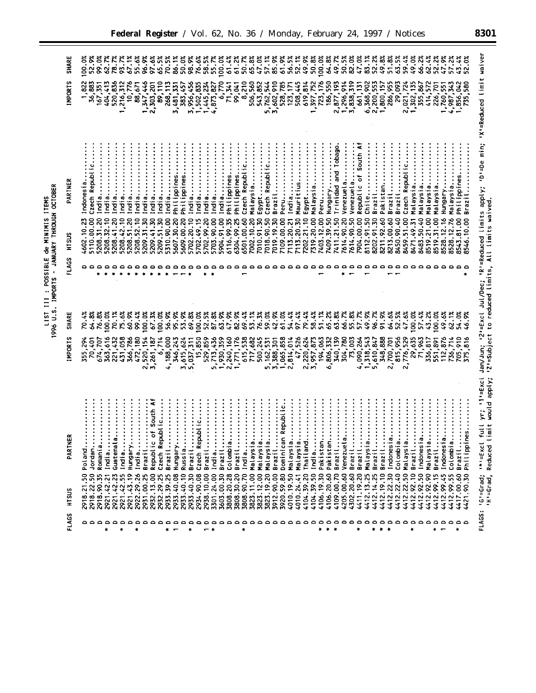LIST III : POSSIBLE de MINIMIS ITEMS<br>1996 U.S. IMPORTS - JANUARY THROUGH OCTOBER

| <b>SHARE</b>     | 52.9%<br>$00.0\%$                                        | 99.0%                | 62.7%               | 78.7X                                      | 67.1%               | 55.6%                   | 96.9%                     | 97.6%<br>65.5%                                | 70.5%                    | 86.1%                     | 50.0%                     | 98.9%<br>76.6%                                                                                     | $58.5^{\circ}$      | 55.7%               | 100.0%              | 61.2%<br>61.43                          | <b>ົ</b><br>ຂີ                              | 65.8%                         | 47.0%               | 57.1%                        | 85.9%                | 61.9                   | 56.5%<br>52.1%                                  | 49.9%               | 50.8%                  | 100.0%             | 64.8%<br>49.7%                                             | 50.5%                   | 82.0%                    | 47.0%                             | 83.1%<br>52.2%                    | 49.8%                            | 51.8%                | 63.5%                | 59.4%                        | 49.0%                    | 66.2%<br>62.4%                                  | 52.2%                 | 47.9%                 | 57.2                   |                          | 52.0%                |                                                                                                                       |
|------------------|----------------------------------------------------------|----------------------|---------------------|--------------------------------------------|---------------------|-------------------------|---------------------------|-----------------------------------------------|--------------------------|---------------------------|---------------------------|----------------------------------------------------------------------------------------------------|---------------------|---------------------|---------------------|-----------------------------------------|---------------------------------------------|-------------------------------|---------------------|------------------------------|----------------------|------------------------|-------------------------------------------------|---------------------|------------------------|--------------------|------------------------------------------------------------|-------------------------|--------------------------|-----------------------------------|-----------------------------------|----------------------------------|----------------------|----------------------|------------------------------|--------------------------|-------------------------------------------------|-----------------------|-----------------------|------------------------|--------------------------|----------------------|-----------------------------------------------------------------------------------------------------------------------|
| <b>IMPORTS</b>   | 36,883                                                   | 167,351              | 404,413             | 520,836<br>1,216,312                       |                     | $\frac{10,776}{88,671}$ | 1,347,446<br>2,303,201    | $\ddot{\textbf{s}}$                           | 268,                     | 3,481,331                 | 383,457                   | 3,956,456<br>1,502,8                                                                               | 1,445,7             | ន្ត្<br>4,873,8     | δ.77                | 71,341<br>99,041                        | 8,210                                       |                               | 506,560<br>543,852  | 5,762,544<br>3,602,910       |                      | 528,785<br>123,171     | 508,445                                         | 619,814             | 1,397,7                | 723,1              | 186,550                                                    | 2,877,193               | 1,296,914<br>3,838,319   | 661, 131                          | 6,368,902                         | 2,200,553<br>1,800,157           | 286,955              | 29,093               | $2,021,7$<br>1,302,1         | 135                      | 414,572<br>355,867                              | 226,701               | 1,760,551             | 343<br>4,987,3         | 1,856,                   |                      | 'X'=Reduced limit waiver                                                                                              |
| PARTNER<br>HISUS | Czech Republic<br>Indonesia.<br>5110.00.00<br>4602.10.23 | India.<br>5208.31.20 | India<br>5208.32.10 | India<br>India<br>5208.41.20<br>5208.42.10 | India<br>5208.51.20 | India<br>5208.52.10     | India<br>5209.31.30       | India<br>India<br>5209.41.30<br>5209.51.30    | India<br>5310.90.00      | Philippines<br>5607.30.20 | Philippines<br>5609.00.20 | India<br>India<br>5702.20.10<br>5702.49.15                                                         | India<br>5702.99.20 | India<br>5703.90.00 | India<br>5904.91.00 | Philippines<br>6116.99.35<br>6304.99.25 | Czech Republic<br>Philippines<br>6501.00.60 | Malaysia<br>7002.10.20        | Egypt<br>7010.91.30 | Czech Republic<br>7018.90.50 | Brazil<br>7019.19.30 | Peru<br>7109.00.00     | Mauritius.<br>India<br>7113.20.21<br>7113.20.30 | Egypt<br>7202.21.10 | Malaysia<br>7319.20.00 | Peru<br>7403.12.00 | Hungary<br>Trinidad and Tobago<br>7411.21.50<br>7409.39.50 | Venezuela<br>7614.90.20 | Venezuela.<br>7614.90.50 | Republic of South A<br>7904.00.00 | Chile<br>8202.91.30<br>8112.91.50 | Brazil<br>Pakistan<br>8211.92.60 | Brazil<br>8213.00.60 | Brazil<br>8450.90.40 | Czech Republic<br>8459.51.00 | Malaysia<br>8471.49.31   | Malaysia<br>sizyala<br>8483.50.40<br>8519.21.00 | alaysia<br>8519.31.00 | Hungary<br>8528.12.16 | Malaysia<br>8528.12.76 | Philippine<br>8543.81.00 | Brazil<br>8546.10.00 | Jan/Jun; '2'=Excl Jul/Dec; 'R'=Reduced limits apply; 'D'=De min;<br>'2'=Subject to reduced limits, All limits waived. |
| FLAGS            | ە ە                                                      |                      |                     |                                            |                     |                         | $\circ$                   |                                               | 00                       |                           |                           |                                                                                                    |                     |                     |                     |                                         |                                             |                               |                     |                              |                      |                        |                                                 |                     |                        |                    |                                                            |                         |                          |                                   |                                   |                                  |                      |                      |                              |                          |                                                 |                       |                       |                        |                          |                      |                                                                                                                       |
| SHARE            | 64.8%<br>ς<br>π                                          | 76.8%                | 100.0%              | 70.1%<br>75.6%                             | 60.9%               | 99.4%                   | 100.0%                    | 100.0%<br>67.3%                               | 56.9%                    | 95.9%                     | 53.9%                     | 69.8%<br>100.0%                                                                                    |                     | $52.5%$<br>$87.8%$  | 63.9%               | 47.9%<br>82.9%                          | 69.4%                                       | 53.1%                         | 76.3%               | 59.0%                        | 42.9%                | 61.0%                  | 54.4%<br>97.4%                                  | 79.4%               | 58.43                  | 51.1%              | 63.8%<br>65.2%                                             | 66.7%                   | 55.8%                    | 57.7%                             | 49.9%<br>96.7%                    | 91.9%                            | 64.6%                | 52.5%                | 47.6%                        | 100.0%<br>57.4%          | 43.2%                                           | 100.0%                | 49.6%                 | 62.1%                  | 54.0%                    | 46.9%                |                                                                                                                       |
| <b>MPORTS</b>    | 294<br>70,401<br>355,7                                   | 707<br>674,7         | 363,616             | 431,058<br>432<br>221,4                    | 786<br>366,         | 472,180                 | 2,520,154<br>3,261,187    | 6,714                                         | 188,000<br>$\ddot{ }$    |                           |                           | 346, 243<br>3, 615, 624<br>5, 037, 311<br>5, 037, 859<br>5, 713, 436<br>5, 713, 436, 759, 759, 759 |                     |                     |                     | 2,240,160<br>771,176                    |                                             | 615,538<br>717,682<br>500,245 |                     | 162,531<br>້                 | 3,388,301            | 1,065,858              | 2,814,014                                       | 47,526<br>2,220,624 | 3,957,873              | 194,063            | 806,332<br>٠.                                              | 340,139<br>304,780      | 60<br>$\vec{z}$          | 4,090,264                         | 543<br>1,318,1                    | 348,888<br>5,610,847             | 2,700,701            | 815,956              | 2,776,529<br>29,635          | 963                      | 336,817<br>$\frac{1}{2}$                        | 551,891               | 112,876               | 714<br>736,            | ត្ថ<br>705,              | 375,816              |                                                                                                                       |
| ¥<br>PARTI       | Jordan.<br>Poland                                        | Romania              | India               | ¢<br>Guatema<br>India                      | Hungary             | India                   | $\ddot{\cdot}$<br>Brazil. | c of South A<br>epublic<br>Czech R<br>Republi | Brazil.                  | <b>Hungary</b>            | Russia.                   | epublic<br>Czech R<br>Brazil.                                                                      | Brazil.             | India               | Brazil.             | Colombia<br>Brazil.                     | India                                       | Malaysi                       | Malaysi             | Malaysia                     | Brazil.              | an Republic<br>Dominic | $\vdots$<br>$\vdots$<br>Malaysi<br>Malaysi      | Thailand            | India                  | Pakista            | Pakista<br>Brazil.                                         | Venezuela               | Brazil.                  | Brazil.                           | Malaysi<br>Brazil.                | Brazil.                          | g<br><b>Indones</b>  | Colombi              | Malaysi                      | Brazil.                  | $\frac{1}{2}$<br>Indones<br>Malaysi             | $\vdots$<br>Brazil.   | Indones               | Colombi                | Brazil.                  | ines.<br>Philippi    | t full yr; '1'=Excl<br>limit would apply;<br>Reduced<br>$1*1 = ExC$                                                   |
| SUS<br>Ë         | 50<br>2918.22.50<br>Σ,<br>2918.                          | 2918.90.35           | 2921.42.21          | 2921.42.23<br>2921.42.55                   | 2921.43.19          | 2922.29.26              | 2931.00.25                | 2932.13.00                                    | 2932.29.25<br>2933.39.25 | 2933.40.08                | 2933.40.10                | 2933.40.30<br>2934.90.08                                                                           | 2938.10.00          | 3301.24.00          | 3603.00.30          | 3808.20.28<br>3808.30.20                | 3808.90.70                                  | 3823.11.00                    | 3823.12.00          | 3823.19.20                   | 3912.90.00           | 3920.59.80             | 4010.19.50<br>4010.24.41                        | 4104.39.20          | 4104.39.50             | 4106.19.30         | 4106.20.60<br>4109.00.70                                   | 4205.00.60              | 4302.20.60               | 4411.19.20                        | 4412.13.25<br>4412.14.25          | 4412.19.10                       | 4412.22.30           | 4412.22.40           | 4412.22.50                   | 4412.92.50<br>4412.92.10 | $\ddot{\mathbf{S}}$<br>4412.92                  | 4412.99.15            | 45<br>4412.99         | .55<br>s.<br>4412.     | S.<br>S.<br>4417.        | Z<br>g<br>N          | 'G'=Grad;<br>'H'=Grad,                                                                                                |
| FLAGS            | ە ە                                                      | $\circ$              | ¥                   | ×                                          |                     | ×                       |                           |                                               | $\mathbf{k}$             |                           |                           | 000000000000<br>٠                                                                                  |                     |                     |                     |                                         | ×                                           |                               |                     |                              |                      |                        |                                                 |                     |                        | ۰                  | $\bullet$<br>$\bullet$                                     |                         |                          | $\ddot{}$                         | ٠                                 | $\ddot{\phantom{a}}$             | 化                    |                      | ¥                            |                          |                                                 | $\ddot{}$             | ٥٥٥٥٥                 |                        | $\ddot{}$                |                      | <b>FLAGS:</b>                                                                                                         |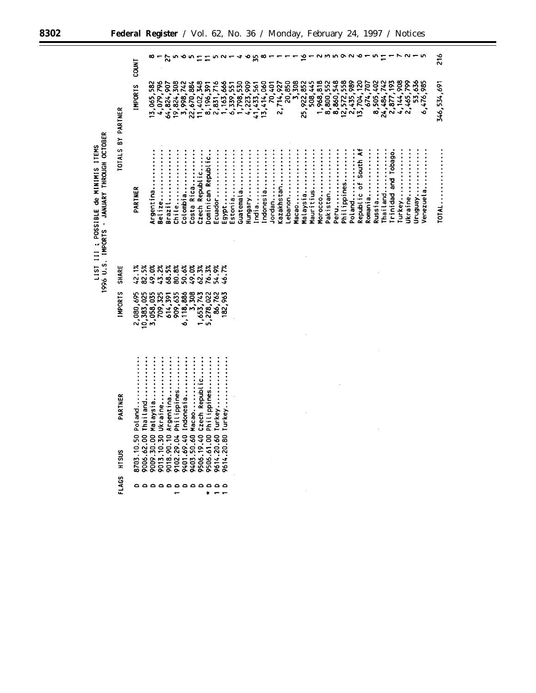|                                                                                     |                   | <b>LNICO</b>                                   |                        |                       | 22                      | m                         | ∙                       | w                                     |                              |                           |                   |                   |                                           | ⋖         | ∾                           | 55 |            |        |            |         |       |            |           |           |           |      |                                      |        |                      |         |           |            |                      |           |           |        |           | 216         |
|-------------------------------------------------------------------------------------|-------------------|------------------------------------------------|------------------------|-----------------------|-------------------------|---------------------------|-------------------------|---------------------------------------|------------------------------|---------------------------|-------------------|-------------------|-------------------------------------------|-----------|-----------------------------|----|------------|--------|------------|---------|-------|------------|-----------|-----------|-----------|------|--------------------------------------|--------|----------------------|---------|-----------|------------|----------------------|-----------|-----------|--------|-----------|-------------|
|                                                                                     |                   | <b>INPORTS</b>                                 | 13,065,582             | 4,079,796             | 64,824,907              | 19,824,308                |                         | 3,998,742<br>22,670,884<br>11,402,348 |                              | 8,196,391                 | 2,831,716         |                   | 1, 163, 666<br>6, 339, 551<br>1, 798, 530 |           | $4,223,909$<br>$41,433,561$ |    | 13,414,060 | 70,401 | 2,714,927  | 20,850  | 3,308 | 25,922,852 | 508,445   | 1,968,818 | 8,800,552 |      | 8,860,548<br>12,572,558<br>2,435,989 |        | 13,704,120           | 674,707 | 8,505,402 | 24,484,742 | 2,877,193            | 4,144,908 | 2,465,799 | 53,636 | 6,476,985 | 346,534,691 |
| 1996 U.S. IMPORTS - JANUARY THROUGH OCTOBER<br>LIST III ; POSSIBLE de MINIMIS ITEMS | TOTALS BY PARTNER | PARTNER                                        | Argentina              | Belize                | Brazil                  | Chile                     | Colombia                | Costa Rica                            | Czech Republic               | Dominican Republic        | Ecuador           |                   | Estonia                                   | Guatemala |                             |    | Indonesia  | lordan | (azakhstan | .ebanon | 1acao | Malaysia   | Mauritius | Morocco   | Pakistan  | Peru | Philippines                          | Poland | Republic of South Af | Romania | Russia    | Thailand   | Trinidad and Tobago. | Turkey    | Ukraine   |        | /enezuela | TOTAL       |
|                                                                                     | <b>SHARE</b>      | $42.1%$<br>82.5%                               | 49.0%                  | 43.2%                 | 68.5%                   | 80.8%                     | 50.6%                   | 49.0%                                 | 62.3%                        | 76.3%                     | 54.9%             | 46.7%             |                                           |           |                             |    |            |        |            |         |       |            |           |           |           |      |                                      |        |                      |         |           |            |                      |           |           |        |           |             |
|                                                                                     | <b>INPORTS</b>    | 2,080,695<br>10,383,025                        | 3,058,035              | 709,325               | 614,391                 | 909,635                   | 6,118,886               | 3,308                                 | 1,653,743<br>5,278,022       |                           | 86,762<br>182,963 |                   |                                           |           |                             |    |            |        |            |         |       |            |           |           |           |      |                                      |        |                      |         |           |            |                      |           |           |        |           |             |
|                                                                                     | PARTNER<br>HTSUS  | Thailand<br>Poland<br>8703.10.50<br>9006.62.00 | Malaysia<br>9009.30.00 | Ukraine<br>9013.10.30 | Argentina<br>9018.90.10 | Philippines<br>9102.29.04 | Indonesia<br>9401.69.40 | 9403.50.60 Macao                      | Czech Republic<br>9506.19.40 | Philippines<br>9506.61.00 | 9614.20.60 Turkey | 9614.20.80 Turkey |                                           |           |                             |    |            |        |            |         |       |            |           |           |           |      |                                      |        |                      |         |           |            |                      |           |           |        |           |             |
|                                                                                     | <b>FLAGS</b>      | a a a a a a a a a a a                          |                        |                       |                         |                           |                         |                                       |                              | ×                         |                   |                   |                                           |           |                             |    |            |        |            |         |       |            |           |           |           |      |                                      |        |                      |         |           |            |                      |           |           |        |           |             |

 $\overline{\phantom{a}}$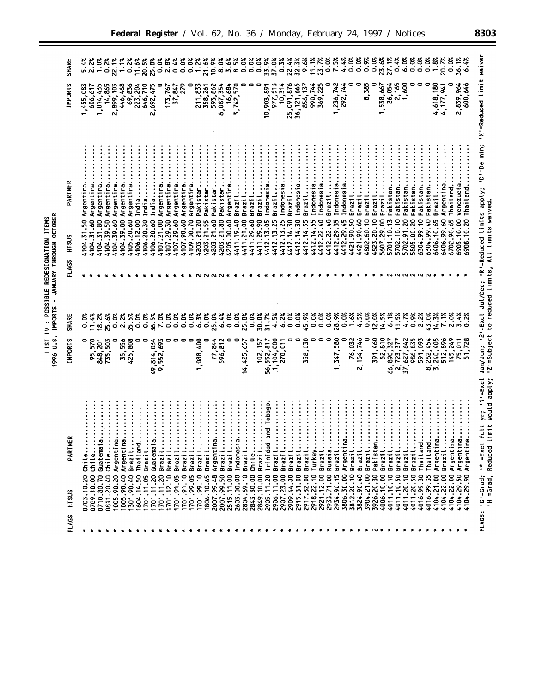|                                        | <b>OCTOBEL</b>    |
|----------------------------------------|-------------------|
|                                        |                   |
| LIST IV : POSSIBLE REDESIGNATION ITEMS | JANUARY THROUGH   |
|                                        | 1996 U.S. IMPORTS |
|                                        |                   |
|                                        |                   |

| FLAGS | HTSUS                          | PARTNE                                                            | <b>IMPORTS</b>                               | SHARE                                                                                                    | FLAGS | HTSUS           | PARTNER    | <b>IMPORTS</b>           | <b>SIIARE</b>                 |
|-------|--------------------------------|-------------------------------------------------------------------|----------------------------------------------|----------------------------------------------------------------------------------------------------------|-------|-----------------|------------|--------------------------|-------------------------------|
| 卡     | 0703.10.20                     | Chile.                                                            | 0                                            | <b>83.0</b>                                                                                              |       | 4104.31.50      | Argentina  | 1,455,083                |                               |
|       | 0709.10.00                     | Chile.                                                            |                                              |                                                                                                          |       | 4104.31.60      | Argentina  | 606,617                  |                               |
|       | 0710.80.70                     |                                                                   | 95,570<br>848,201                            | 18.2%                                                                                                    |       | 4104.31.80      | Argentina  | 1,014,435                |                               |
|       |                                | Guatemala                                                         |                                              |                                                                                                          |       |                 |            |                          |                               |
|       | 0811.20.40                     | Chile                                                             | 735,503                                      | 25.6%                                                                                                    |       | 4104.39.50      | Argentina. | 14,865                   |                               |
|       | 1005.90.20                     | Argentina                                                         |                                              | <u>ំ</u><br>០.ប                                                                                          |       | 4104.39.60      | Argentina  | 2,899,103                |                               |
|       | 1005.90.40                     | Argentina                                                         | 35,556                                       | 2.2%                                                                                                     |       | 4104.39.80      | Argentina  | 446,468                  | 1.1%                          |
|       | 1301.90.40                     | Brazil                                                            | 425,808                                      | 35.5%                                                                                                    |       | 4105.20.60      | Argentina  | 69,836<br>223,204        | 0.2%                          |
|       | 604.14.50                      | Thailand.                                                         |                                              | 0.0%                                                                                                     |       | 4106.12.00      | india.     |                          |                               |
|       | 701.11.05                      | Brazil                                                            | 0                                            | 0.0%                                                                                                     |       | 4106.20.30      | India      | 646,710                  |                               |
|       | 701.11.20                      | Guatemala                                                         | 49,814,034                                   |                                                                                                          |       | 4106.20.60      | 。<br>官     | 2,692,475                |                               |
|       | 701.11.20                      | Brazil                                                            | 9,552,693                                    | 36.5%<br>7.0%                                                                                            |       | 4107.21.00      | Argentina  |                          |                               |
|       | 701.12.10                      | Brazil                                                            |                                              | <b>0.0%</b>                                                                                              |       | 4107.29.30      | Argentina  | 173,767                  |                               |
|       | 701.91.05                      | Brazi                                                             |                                              | 0.0%                                                                                                     |       | 4107.29.60      | Argentina  | 37,847                   |                               |
|       | 701.91.10                      | Brazil                                                            |                                              | 0.0%                                                                                                     |       | 4107.90.60      | Argentina. | 279                      | 3233333533<br>1000000-        |
|       | 1701.99.05                     | Brazil                                                            | 0                                            | <b>0.0%</b>                                                                                              |       | 4109.00.70      | Argentina  |                          |                               |
|       | 701.99.10                      | Brazi                                                             | 1,088,400                                    | 6.3%                                                                                                     |       | 4203.21.20      | Pakistan.  | 211,833                  |                               |
|       | 806.10.65                      | Brazil<br>$\ddot{\cdot}$                                          |                                              | 0.0%                                                                                                     |       | 4203.21.55      | Pakistan.  | 358,261                  | 21.6%                         |
|       | 2007.99.48                     | Argentina                                                         | 77,844                                       | 25.0%                                                                                                    |       | 4203.21.60      | Pakistan.  |                          | 10.9%                         |
|       | 2007.99.50                     | Brazil                                                            | 596,812                                      | 6.4%                                                                                                     |       | 4203.21.80      | Pakistan.  | 593, 862<br>6, 087, 354  |                               |
|       | 2515.11.00                     | Brazil                                                            |                                              | 0.0%                                                                                                     |       | 4205.00.60      | Argentina. | 16,684                   | និងំដំនំនំនំ<br>នំពាំង់ទំនំនំ |
|       |                                |                                                                   |                                              |                                                                                                          |       |                 |            | 3,742,570                |                               |
|       | 2603.00.00                     | Indonesia                                                         | 0                                            | <b>័</b><br>ភូមិ<br>ភូមិ                                                                                 |       | 4411.19.40      | Brazil     |                          |                               |
|       | 2804.69.10                     | Brazil                                                            | 14,425,657                                   |                                                                                                          |       | 4411.21.00      | Brazil     |                          |                               |
|       | 2843.30.00                     | chile                                                             | 0                                            |                                                                                                          |       | 4411.29.60      | Brazil     |                          |                               |
|       | 2849.10.00                     | Brazil                                                            | 102, 157<br>56, 552, 817                     | 30.0%                                                                                                    |       | 1411.29.90      | Brazil     | っ                        |                               |
|       | 2905.11.20                     | and Tobag<br>Trinidad                                             |                                              | 31.7%                                                                                                    |       | 4412.13.05      | Indonesia  | 10,903,891               | 33.9%<br>37.0%                |
|       | 2906.11.00                     | Brazil                                                            | 1,104,000                                    | 4.5%                                                                                                     |       | 4412.13.25      | Brazil.    | 977, 513<br>10, 314      |                               |
|       | 2907.23.00                     | Brazil                                                            | 270,011                                      | 6.2%                                                                                                     |       | 4412.13.25      | Indonesia  |                          | 0.3%                          |
|       | 2909.44.00                     | Brazil                                                            |                                              | 0.0%                                                                                                     |       | 4412.14.30      | Brazil     | 25,091,876               |                               |
|       | 2915.31.00                     | Brazi                                                             | 0                                            | 0.0%                                                                                                     |       | 14.30<br>4412.1 | Indonesia  | 36, 121, 665             | 3333.<br>2233.                |
|       | 2917.32.00                     | Brazil                                                            | 358,030                                      | 45.9%                                                                                                    |       | 4412.14.55      | Brazil     | 856, 137                 |                               |
|       | 2918.22.10                     | Turkey                                                            | 0                                            | <u>ំ</u><br>0.0                                                                                          |       | 1412.14.55      | Indonesia  | 990,744                  |                               |
|       | 2921.12.00                     | Brazil                                                            | 0                                            | 0.0%                                                                                                     |       | 1412.22.40      | Indonesia  | 369,225                  | $\frac{11.1%}{23.7%}$         |
|       | 2933.71.00                     | <b>Russia</b>                                                     | 0                                            | 0.0%                                                                                                     |       | 4412.22.40      | Brazil     |                          | $0.0\%$                       |
|       | 2934.90.15                     | Brazil                                                            | ,347,580                                     | 28.9%                                                                                                    |       | 4412.29.35      | Indonesia  |                          | 7.5%                          |
|       | 3806.30.00                     | Argentina                                                         | 0                                            | 0.0%                                                                                                     |       | 4412.29.45      | Indonesia  | $1,236,742$<br>292,744   |                               |
|       | 3812.20.10                     | Brazil                                                            | 76,032                                       | 1.6%                                                                                                     |       | 4421.90.50      | Brazil     |                          | $4.4%$<br>0.0%                |
|       | 3824.90.40                     | Brazil                                                            | 2, 154, 746                                  | 4.5%                                                                                                     |       | 4421.90.60      | Brazil     |                          | 0.0%                          |
|       | 3904.21.00                     | Brazil                                                            | c                                            | $0.0\%$                                                                                                  |       | 4802.60.10      | Brazi      | 8,385                    |                               |
|       | 3926.20.30                     | Pakistan.                                                         |                                              | 12.0%                                                                                                    |       | 4823.20.10      | Brazil     |                          | 0.88                          |
|       | 4006.10.00                     | Brazil.                                                           | 391,460<br>52,810                            | 14.5%                                                                                                    |       | 5607.29.00      | Brazil.    | 1,538,667                |                               |
|       | 4011.10.10                     | Brazil                                                            | 66,890,327                                   | 6.1%                                                                                                     |       | 5701.10.13      | Pakistan.  | 26,054                   | 23.6%<br>27.1%<br>0.4%        |
|       | 4011.10.50                     | Brazil                                                            |                                              | 11.5%                                                                                                    |       | 5702.10.10      | Pakistan.  |                          |                               |
|       | 4011.20.10                     | Brazil                                                            |                                              | 4.7%                                                                                                     |       | 5702.91.20      | Pakistan.  | 2,165<br>1,600           | 6.0%                          |
|       | 4011.20.50                     | Brazil                                                            | 2,723,377<br>37,627,642<br>986,835           | 8.9%                                                                                                     |       | 5805.00.20      | Pakistan   |                          | 0.0%                          |
|       | 4016.99.30                     | Thailand.                                                         | 591,093                                      |                                                                                                          |       | 6304.99.10      | Pakistan.  |                          |                               |
|       | 4016.99.35                     | Thailand.                                                         | వ                                            | $2.2%$<br>43.0%                                                                                          |       | 5304.99.40      | Pakistan   |                          | 888<br>000                    |
|       | 4104.21.00                     | Argentina                                                         | $\mathbf{m}$                                 | 14.3%                                                                                                    |       | 6406.10.65      | Brazil     | 4,618,180                |                               |
|       | 4104.22.00                     | Brazil                                                            | 262, 454<br>240, 405<br>512, 896<br>145, 249 | 7.1%                                                                                                     |       | 6406.99.60      | Argentina  | 4,177,941                | 20.7%                         |
|       | 4104.22.00                     | Argentina                                                         |                                              | 2.0%                                                                                                     |       | 5702.90.65      | Thailang   |                          | 0.0%                          |
|       | 4104.29.50                     | Argentina                                                         | $\overline{5}$                               |                                                                                                          |       | 6905.10.00      | Venezuel   | 2,839,964                | 36.1%                         |
|       | ৽<br>$\overline{3}$<br>4104    | Argentina                                                         | 75,011<br>51,728                             | $3.4%$<br>0.2%                                                                                           |       | 5908.10.20      | Thailand   | 600,646                  | 6.4%                          |
|       |                                |                                                                   |                                              |                                                                                                          |       |                 |            |                          |                               |
|       | FLAGS: 'G'=Grad;<br>IH's Grad, | full yr; '1'=Excl<br>imit would apply;<br>Reduced L<br>$1*1=EXCI$ |                                              | Jan/Jun; '2'=Excl Jul/Dec; 'R'=Reduced limits apply;<br>12'=Subject to reduced limits, All limits waived |       |                 | 'nu ag=10  | "X'=Reduced limit waiver |                               |
|       |                                |                                                                   |                                              |                                                                                                          |       |                 |            |                          |                               |